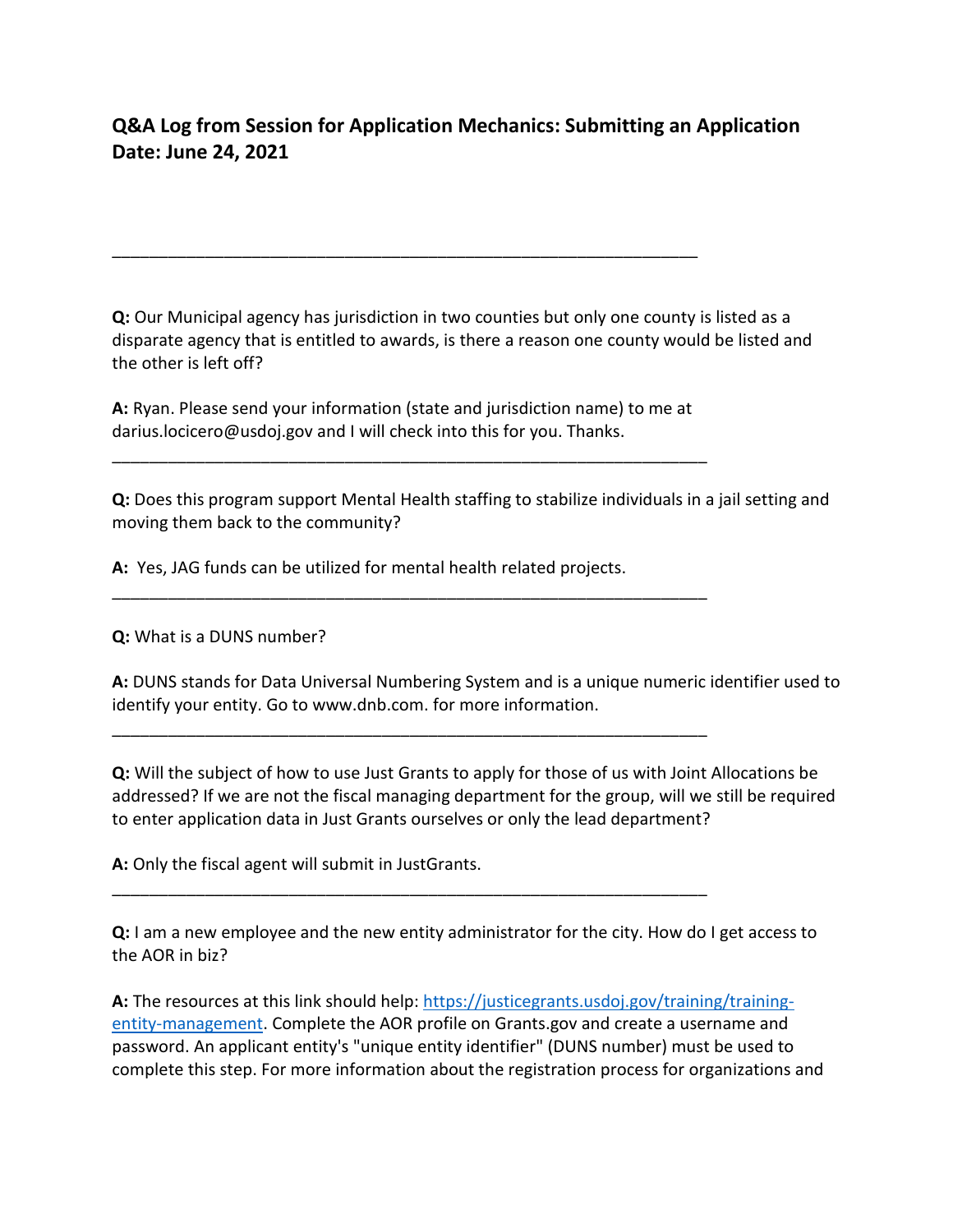## **Q&A Log from Session for Application Mechanics: Submitting an Application Date: June 24, 2021**

**Q:** Our Municipal agency has jurisdiction in two counties but only one county is listed as a disparate agency that is entitled to awards, is there a reason one county would be listed and the other is left off?

**A:** Ryan. Please send your information (state and jurisdiction name) to me at darius.locicero@usdoj.gov and I will check into this for you. Thanks.

\_\_\_\_\_\_\_\_\_\_\_\_\_\_\_\_\_\_\_\_\_\_\_\_\_\_\_\_\_\_\_\_\_\_\_\_\_\_\_\_\_\_\_\_\_\_\_\_\_\_\_\_\_\_\_\_\_\_\_\_\_\_\_\_

\_\_\_\_\_\_\_\_\_\_\_\_\_\_\_\_\_\_\_\_\_\_\_\_\_\_\_\_\_\_\_\_\_\_\_\_\_\_\_\_\_\_\_\_\_\_\_\_\_\_\_\_\_\_\_\_\_\_\_\_\_\_\_\_

\_\_\_\_\_\_\_\_\_\_\_\_\_\_\_\_\_\_\_\_\_\_\_\_\_\_\_\_\_\_\_\_\_\_\_\_\_\_\_\_\_\_\_\_\_\_\_\_\_\_\_\_\_\_\_\_\_\_\_\_\_\_\_\_

\_\_\_\_\_\_\_\_\_\_\_\_\_\_\_\_\_\_\_\_\_\_\_\_\_\_\_\_\_\_\_\_\_\_\_\_\_\_\_\_\_\_\_\_\_\_\_\_\_\_\_\_\_\_\_\_\_\_\_\_\_\_\_\_

\_\_\_\_\_\_\_\_\_\_\_\_\_\_\_\_\_\_\_\_\_\_\_\_\_\_\_\_\_\_\_\_\_\_\_\_\_\_\_\_\_\_\_\_\_\_\_\_\_\_\_\_\_\_\_\_\_\_\_\_\_\_\_

**Q:** Does this program support Mental Health staffing to stabilize individuals in a jail setting and moving them back to the community?

**A:** Yes, JAG funds can be utilized for mental health related projects.

**Q:** What is a DUNS number?

**A:** DUNS stands for Data Universal Numbering System and is a unique numeric identifier used to identify your entity. Go to www.dnb.com. for more information.

**Q:** Will the subject of how to use Just Grants to apply for those of us with Joint Allocations be addressed? If we are not the fiscal managing department for the group, will we still be required to enter application data in Just Grants ourselves or only the lead department?

**A:** Only the fiscal agent will submit in JustGrants.

**Q:** I am a new employee and the new entity administrator for the city. How do I get access to the AOR in biz?

**A:** The resources at this link should help: [https://justicegrants.usdoj.gov/training/training](https://justicegrants.usdoj.gov/training/training-entity-management)[entity-management.](https://justicegrants.usdoj.gov/training/training-entity-management) Complete the AOR profile on Grants.gov and create a username and password. An applicant entity's "unique entity identifier" (DUNS number) must be used to complete this step. For more information about the registration process for organizations and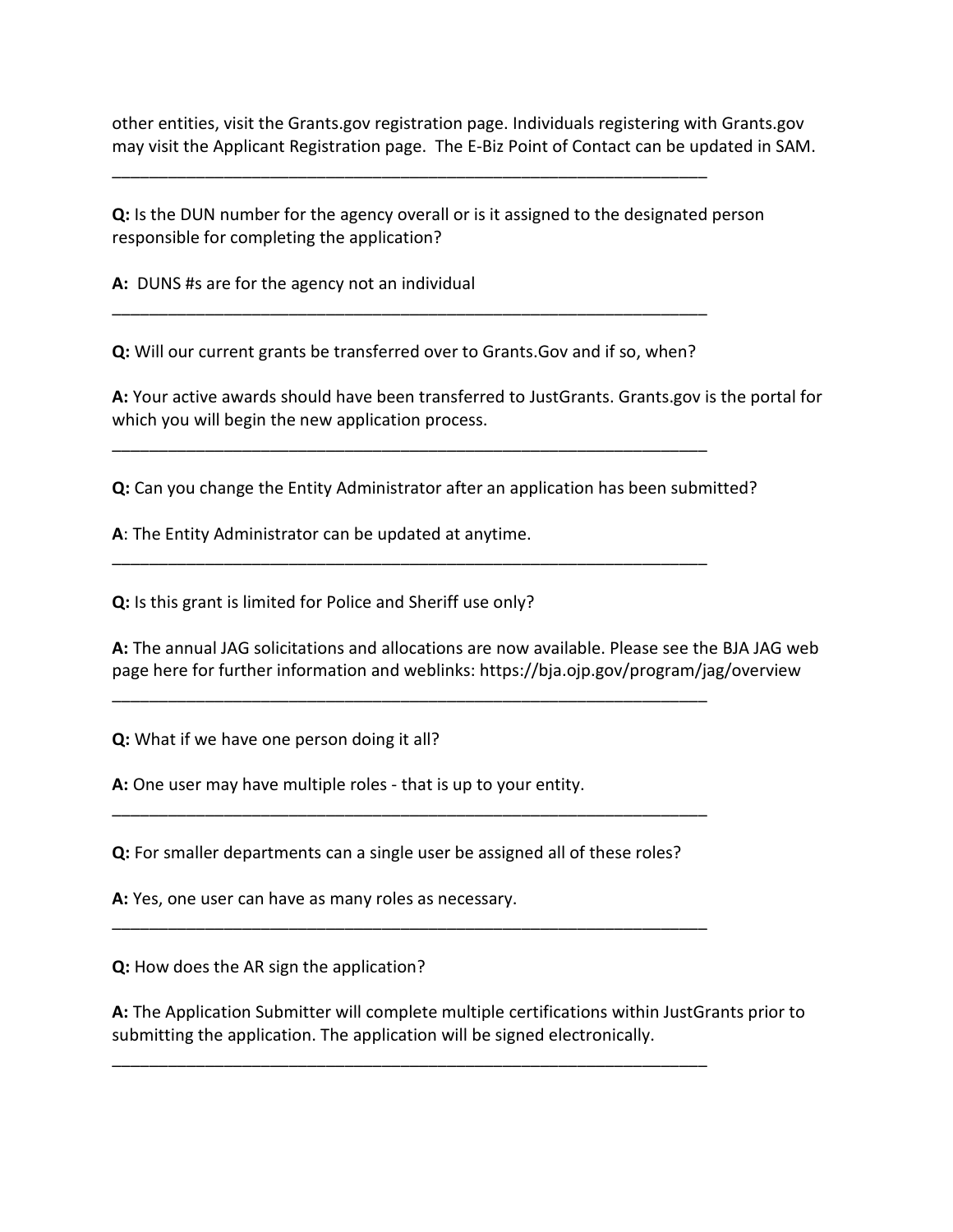other entities, visit the Grants.gov registration page. Individuals registering with Grants.gov may visit the Applicant Registration page. The E-Biz Point of Contact can be updated in SAM.

**Q:** Is the DUN number for the agency overall or is it assigned to the designated person responsible for completing the application?

**A:** DUNS #s are for the agency not an individual

**Q:** Will our current grants be transferred over to Grants.Gov and if so, when?

\_\_\_\_\_\_\_\_\_\_\_\_\_\_\_\_\_\_\_\_\_\_\_\_\_\_\_\_\_\_\_\_\_\_\_\_\_\_\_\_\_\_\_\_\_\_\_\_\_\_\_\_\_\_\_\_\_\_\_\_\_\_\_\_

\_\_\_\_\_\_\_\_\_\_\_\_\_\_\_\_\_\_\_\_\_\_\_\_\_\_\_\_\_\_\_\_\_\_\_\_\_\_\_\_\_\_\_\_\_\_\_\_\_\_\_\_\_\_\_\_\_\_\_\_\_\_\_\_

\_\_\_\_\_\_\_\_\_\_\_\_\_\_\_\_\_\_\_\_\_\_\_\_\_\_\_\_\_\_\_\_\_\_\_\_\_\_\_\_\_\_\_\_\_\_\_\_\_\_\_\_\_\_\_\_\_\_\_\_\_\_\_\_

\_\_\_\_\_\_\_\_\_\_\_\_\_\_\_\_\_\_\_\_\_\_\_\_\_\_\_\_\_\_\_\_\_\_\_\_\_\_\_\_\_\_\_\_\_\_\_\_\_\_\_\_\_\_\_\_\_\_\_\_\_\_\_\_

\_\_\_\_\_\_\_\_\_\_\_\_\_\_\_\_\_\_\_\_\_\_\_\_\_\_\_\_\_\_\_\_\_\_\_\_\_\_\_\_\_\_\_\_\_\_\_\_\_\_\_\_\_\_\_\_\_\_\_\_\_\_\_\_

**A:** Your active awards should have been transferred to JustGrants. Grants.gov is the portal for which you will begin the new application process.

**Q:** Can you change the Entity Administrator after an application has been submitted?

**A**: The Entity Administrator can be updated at anytime.

**Q:** Is this grant is limited for Police and Sheriff use only?

**A:** The annual JAG solicitations and allocations are now available. Please see the BJA JAG web page here for further information and weblinks: https://bja.ojp.gov/program/jag/overview

**Q:** What if we have one person doing it all?

**A:** One user may have multiple roles - that is up to your entity.

**Q:** For smaller departments can a single user be assigned all of these roles?

\_\_\_\_\_\_\_\_\_\_\_\_\_\_\_\_\_\_\_\_\_\_\_\_\_\_\_\_\_\_\_\_\_\_\_\_\_\_\_\_\_\_\_\_\_\_\_\_\_\_\_\_\_\_\_\_\_\_\_\_\_\_\_\_

\_\_\_\_\_\_\_\_\_\_\_\_\_\_\_\_\_\_\_\_\_\_\_\_\_\_\_\_\_\_\_\_\_\_\_\_\_\_\_\_\_\_\_\_\_\_\_\_\_\_\_\_\_\_\_\_\_\_\_\_\_\_\_\_

\_\_\_\_\_\_\_\_\_\_\_\_\_\_\_\_\_\_\_\_\_\_\_\_\_\_\_\_\_\_\_\_\_\_\_\_\_\_\_\_\_\_\_\_\_\_\_\_\_\_\_\_\_\_\_\_\_\_\_\_\_\_\_\_

**A:** Yes, one user can have as many roles as necessary.

**Q:** How does the AR sign the application?

**A:** The Application Submitter will complete multiple certifications within JustGrants prior to submitting the application. The application will be signed electronically.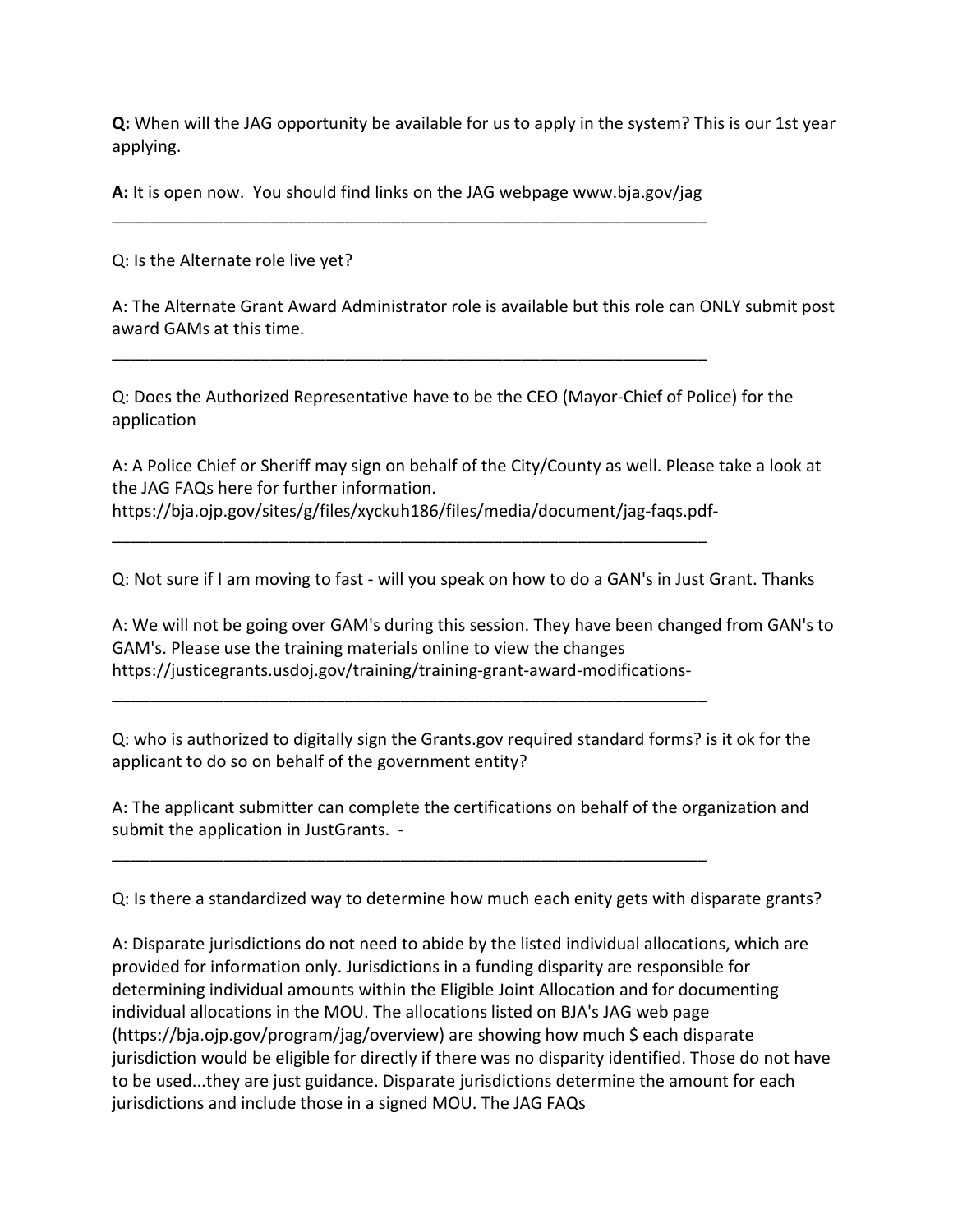**Q:** When will the JAG opportunity be available for us to apply in the system? This is our 1st year applying.

**A:** It is open now. You should find links on the JAG webpage www.bja.gov/jag \_\_\_\_\_\_\_\_\_\_\_\_\_\_\_\_\_\_\_\_\_\_\_\_\_\_\_\_\_\_\_\_\_\_\_\_\_\_\_\_\_\_\_\_\_\_\_\_\_\_\_\_\_\_\_\_\_\_\_\_\_\_\_\_

\_\_\_\_\_\_\_\_\_\_\_\_\_\_\_\_\_\_\_\_\_\_\_\_\_\_\_\_\_\_\_\_\_\_\_\_\_\_\_\_\_\_\_\_\_\_\_\_\_\_\_\_\_\_\_\_\_\_\_\_\_\_\_\_

\_\_\_\_\_\_\_\_\_\_\_\_\_\_\_\_\_\_\_\_\_\_\_\_\_\_\_\_\_\_\_\_\_\_\_\_\_\_\_\_\_\_\_\_\_\_\_\_\_\_\_\_\_\_\_\_\_\_\_\_\_\_\_\_

\_\_\_\_\_\_\_\_\_\_\_\_\_\_\_\_\_\_\_\_\_\_\_\_\_\_\_\_\_\_\_\_\_\_\_\_\_\_\_\_\_\_\_\_\_\_\_\_\_\_\_\_\_\_\_\_\_\_\_\_\_\_\_\_

\_\_\_\_\_\_\_\_\_\_\_\_\_\_\_\_\_\_\_\_\_\_\_\_\_\_\_\_\_\_\_\_\_\_\_\_\_\_\_\_\_\_\_\_\_\_\_\_\_\_\_\_\_\_\_\_\_\_\_\_\_\_\_\_

Q: Is the Alternate role live yet?

A: The Alternate Grant Award Administrator role is available but this role can ONLY submit post award GAMs at this time.

Q: Does the Authorized Representative have to be the CEO (Mayor-Chief of Police) for the application

A: A Police Chief or Sheriff may sign on behalf of the City/County as well. Please take a look at the JAG FAQs here for further information. https://bja.ojp.gov/sites/g/files/xyckuh186/files/media/document/jag-faqs.pdf-

Q: Not sure if I am moving to fast - will you speak on how to do a GAN's in Just Grant. Thanks

A: We will not be going over GAM's during this session. They have been changed from GAN's to GAM's. Please use the training materials online to view the changes https://justicegrants.usdoj.gov/training/training-grant-award-modifications-

Q: who is authorized to digitally sign the Grants.gov required standard forms? is it ok for the applicant to do so on behalf of the government entity?

A: The applicant submitter can complete the certifications on behalf of the organization and submit the application in JustGrants. -

Q: Is there a standardized way to determine how much each enity gets with disparate grants?

A: Disparate jurisdictions do not need to abide by the listed individual allocations, which are provided for information only. Jurisdictions in a funding disparity are responsible for determining individual amounts within the Eligible Joint Allocation and for documenting individual allocations in the MOU. The allocations listed on BJA's JAG web page (https://bja.ojp.gov/program/jag/overview) are showing how much \$ each disparate jurisdiction would be eligible for directly if there was no disparity identified. Those do not have to be used...they are just guidance. Disparate jurisdictions determine the amount for each jurisdictions and include those in a signed MOU. The JAG FAQs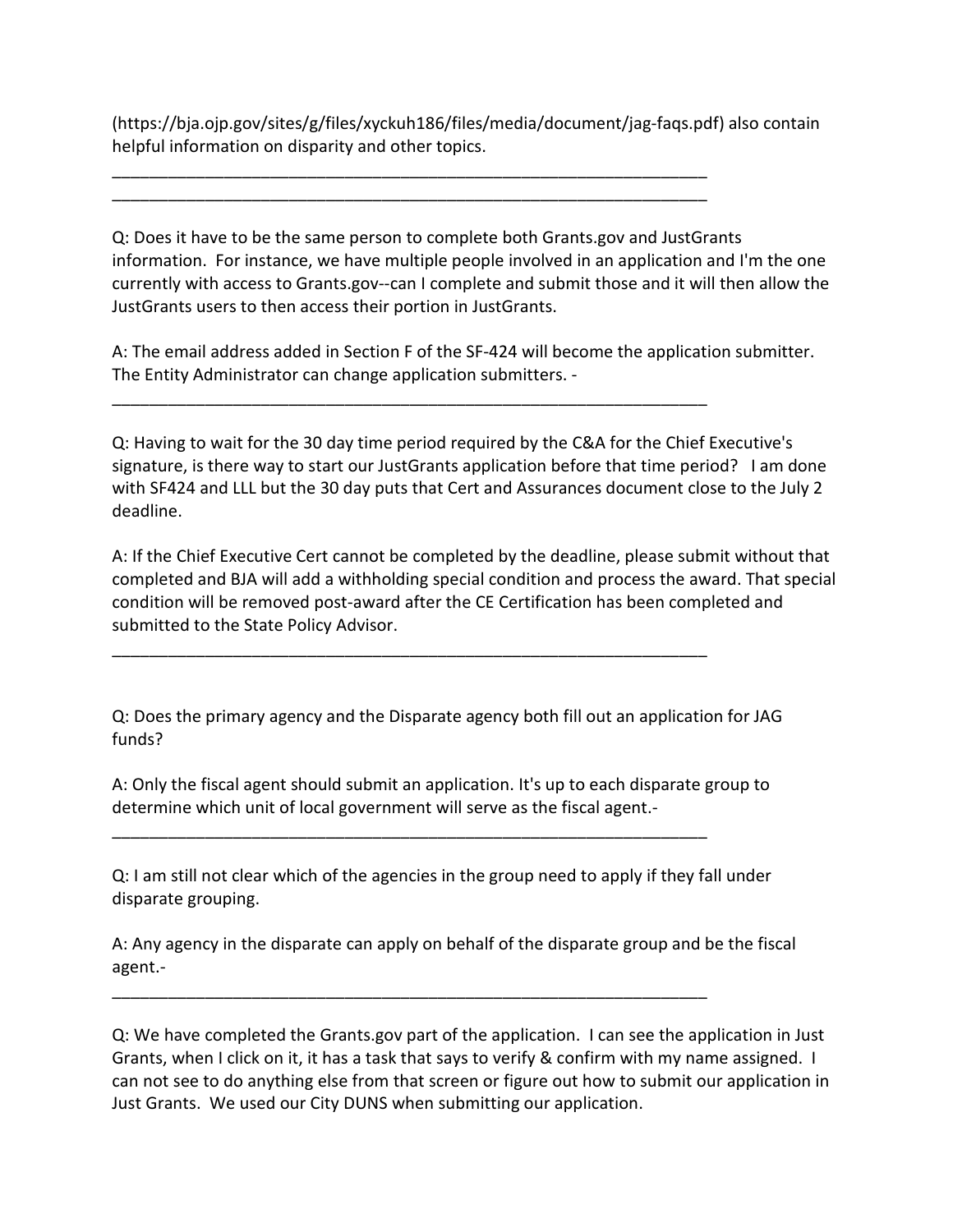(https://bja.ojp.gov/sites/g/files/xyckuh186/files/media/document/jag-faqs.pdf) also contain helpful information on disparity and other topics.

\_\_\_\_\_\_\_\_\_\_\_\_\_\_\_\_\_\_\_\_\_\_\_\_\_\_\_\_\_\_\_\_\_\_\_\_\_\_\_\_\_\_\_\_\_\_\_\_\_\_\_\_\_\_\_\_\_\_\_\_\_\_\_\_ \_\_\_\_\_\_\_\_\_\_\_\_\_\_\_\_\_\_\_\_\_\_\_\_\_\_\_\_\_\_\_\_\_\_\_\_\_\_\_\_\_\_\_\_\_\_\_\_\_\_\_\_\_\_\_\_\_\_\_\_\_\_\_\_

\_\_\_\_\_\_\_\_\_\_\_\_\_\_\_\_\_\_\_\_\_\_\_\_\_\_\_\_\_\_\_\_\_\_\_\_\_\_\_\_\_\_\_\_\_\_\_\_\_\_\_\_\_\_\_\_\_\_\_\_\_\_\_\_

\_\_\_\_\_\_\_\_\_\_\_\_\_\_\_\_\_\_\_\_\_\_\_\_\_\_\_\_\_\_\_\_\_\_\_\_\_\_\_\_\_\_\_\_\_\_\_\_\_\_\_\_\_\_\_\_\_\_\_\_\_\_\_\_

\_\_\_\_\_\_\_\_\_\_\_\_\_\_\_\_\_\_\_\_\_\_\_\_\_\_\_\_\_\_\_\_\_\_\_\_\_\_\_\_\_\_\_\_\_\_\_\_\_\_\_\_\_\_\_\_\_\_\_\_\_\_\_\_

\_\_\_\_\_\_\_\_\_\_\_\_\_\_\_\_\_\_\_\_\_\_\_\_\_\_\_\_\_\_\_\_\_\_\_\_\_\_\_\_\_\_\_\_\_\_\_\_\_\_\_\_\_\_\_\_\_\_\_\_\_\_\_\_

Q: Does it have to be the same person to complete both Grants.gov and JustGrants information. For instance, we have multiple people involved in an application and I'm the one currently with access to Grants.gov--can I complete and submit those and it will then allow the JustGrants users to then access their portion in JustGrants.

A: The email address added in Section F of the SF-424 will become the application submitter. The Entity Administrator can change application submitters. -

Q: Having to wait for the 30 day time period required by the C&A for the Chief Executive's signature, is there way to start our JustGrants application before that time period? I am done with SF424 and LLL but the 30 day puts that Cert and Assurances document close to the July 2 deadline.

A: If the Chief Executive Cert cannot be completed by the deadline, please submit without that completed and BJA will add a withholding special condition and process the award. That special condition will be removed post-award after the CE Certification has been completed and submitted to the State Policy Advisor.

Q: Does the primary agency and the Disparate agency both fill out an application for JAG funds?

A: Only the fiscal agent should submit an application. It's up to each disparate group to determine which unit of local government will serve as the fiscal agent.-

Q: I am still not clear which of the agencies in the group need to apply if they fall under disparate grouping.

A: Any agency in the disparate can apply on behalf of the disparate group and be the fiscal agent.-

Q: We have completed the Grants.gov part of the application. I can see the application in Just Grants, when I click on it, it has a task that says to verify & confirm with my name assigned. I can not see to do anything else from that screen or figure out how to submit our application in Just Grants. We used our City DUNS when submitting our application.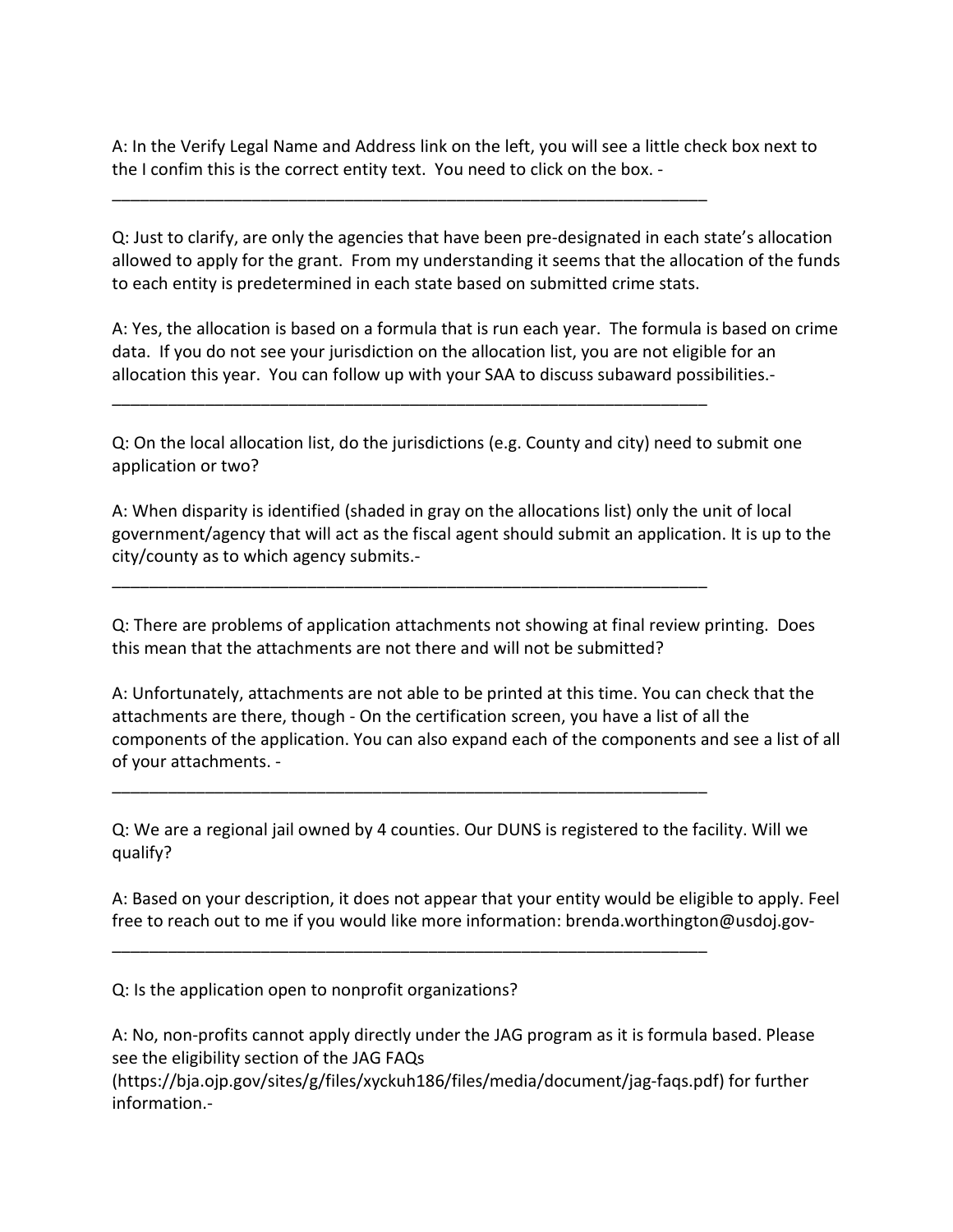A: In the Verify Legal Name and Address link on the left, you will see a little check box next to the I confim this is the correct entity text. You need to click on the box. -

\_\_\_\_\_\_\_\_\_\_\_\_\_\_\_\_\_\_\_\_\_\_\_\_\_\_\_\_\_\_\_\_\_\_\_\_\_\_\_\_\_\_\_\_\_\_\_\_\_\_\_\_\_\_\_\_\_\_\_\_\_\_\_\_

\_\_\_\_\_\_\_\_\_\_\_\_\_\_\_\_\_\_\_\_\_\_\_\_\_\_\_\_\_\_\_\_\_\_\_\_\_\_\_\_\_\_\_\_\_\_\_\_\_\_\_\_\_\_\_\_\_\_\_\_\_\_\_\_

\_\_\_\_\_\_\_\_\_\_\_\_\_\_\_\_\_\_\_\_\_\_\_\_\_\_\_\_\_\_\_\_\_\_\_\_\_\_\_\_\_\_\_\_\_\_\_\_\_\_\_\_\_\_\_\_\_\_\_\_\_\_\_\_

\_\_\_\_\_\_\_\_\_\_\_\_\_\_\_\_\_\_\_\_\_\_\_\_\_\_\_\_\_\_\_\_\_\_\_\_\_\_\_\_\_\_\_\_\_\_\_\_\_\_\_\_\_\_\_\_\_\_\_\_\_\_\_\_

\_\_\_\_\_\_\_\_\_\_\_\_\_\_\_\_\_\_\_\_\_\_\_\_\_\_\_\_\_\_\_\_\_\_\_\_\_\_\_\_\_\_\_\_\_\_\_\_\_\_\_\_\_\_\_\_\_\_\_\_\_\_\_\_

Q: Just to clarify, are only the agencies that have been pre-designated in each state's allocation allowed to apply for the grant. From my understanding it seems that the allocation of the funds to each entity is predetermined in each state based on submitted crime stats.

A: Yes, the allocation is based on a formula that is run each year. The formula is based on crime data. If you do not see your jurisdiction on the allocation list, you are not eligible for an allocation this year. You can follow up with your SAA to discuss subaward possibilities.-

Q: On the local allocation list, do the jurisdictions (e.g. County and city) need to submit one application or two?

A: When disparity is identified (shaded in gray on the allocations list) only the unit of local government/agency that will act as the fiscal agent should submit an application. It is up to the city/county as to which agency submits.-

Q: There are problems of application attachments not showing at final review printing. Does this mean that the attachments are not there and will not be submitted?

A: Unfortunately, attachments are not able to be printed at this time. You can check that the attachments are there, though - On the certification screen, you have a list of all the components of the application. You can also expand each of the components and see a list of all of your attachments. -

Q: We are a regional jail owned by 4 counties. Our DUNS is registered to the facility. Will we qualify?

A: Based on your description, it does not appear that your entity would be eligible to apply. Feel free to reach out to me if you would like more information: brenda.worthington@usdoj.gov-

Q: Is the application open to nonprofit organizations?

A: No, non-profits cannot apply directly under the JAG program as it is formula based. Please see the eligibility section of the JAG FAQs

(https://bja.ojp.gov/sites/g/files/xyckuh186/files/media/document/jag-faqs.pdf) for further information.-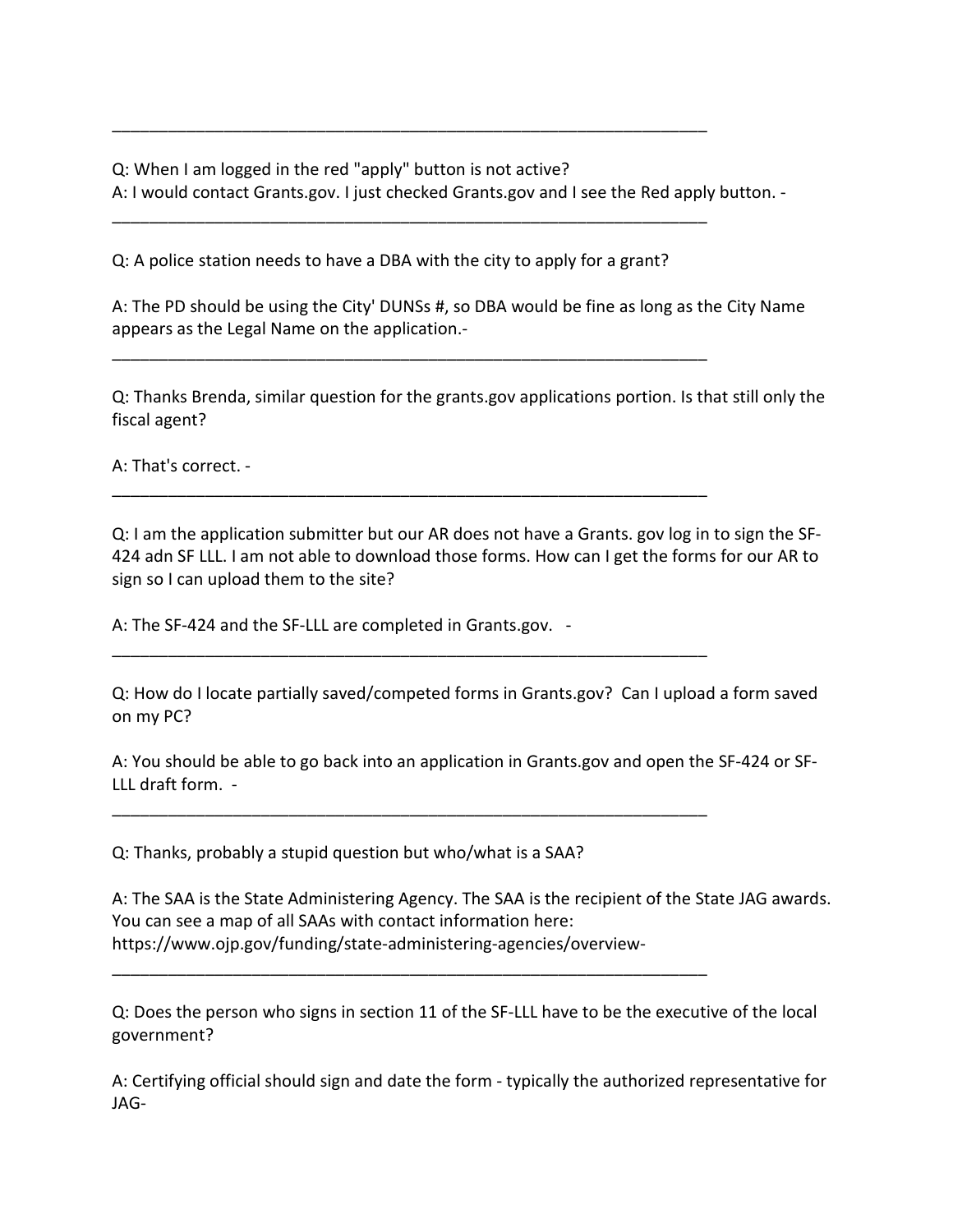Q: When I am logged in the red "apply" button is not active?

A: I would contact Grants.gov. I just checked Grants.gov and I see the Red apply button. -

Q: A police station needs to have a DBA with the city to apply for a grant?

\_\_\_\_\_\_\_\_\_\_\_\_\_\_\_\_\_\_\_\_\_\_\_\_\_\_\_\_\_\_\_\_\_\_\_\_\_\_\_\_\_\_\_\_\_\_\_\_\_\_\_\_\_\_\_\_\_\_\_\_\_\_\_\_

\_\_\_\_\_\_\_\_\_\_\_\_\_\_\_\_\_\_\_\_\_\_\_\_\_\_\_\_\_\_\_\_\_\_\_\_\_\_\_\_\_\_\_\_\_\_\_\_\_\_\_\_\_\_\_\_\_\_\_\_\_\_\_\_

\_\_\_\_\_\_\_\_\_\_\_\_\_\_\_\_\_\_\_\_\_\_\_\_\_\_\_\_\_\_\_\_\_\_\_\_\_\_\_\_\_\_\_\_\_\_\_\_\_\_\_\_\_\_\_\_\_\_\_\_\_\_\_\_

\_\_\_\_\_\_\_\_\_\_\_\_\_\_\_\_\_\_\_\_\_\_\_\_\_\_\_\_\_\_\_\_\_\_\_\_\_\_\_\_\_\_\_\_\_\_\_\_\_\_\_\_\_\_\_\_\_\_\_\_\_\_\_\_

\_\_\_\_\_\_\_\_\_\_\_\_\_\_\_\_\_\_\_\_\_\_\_\_\_\_\_\_\_\_\_\_\_\_\_\_\_\_\_\_\_\_\_\_\_\_\_\_\_\_\_\_\_\_\_\_\_\_\_\_\_\_\_\_

\_\_\_\_\_\_\_\_\_\_\_\_\_\_\_\_\_\_\_\_\_\_\_\_\_\_\_\_\_\_\_\_\_\_\_\_\_\_\_\_\_\_\_\_\_\_\_\_\_\_\_\_\_\_\_\_\_\_\_\_\_\_\_\_

\_\_\_\_\_\_\_\_\_\_\_\_\_\_\_\_\_\_\_\_\_\_\_\_\_\_\_\_\_\_\_\_\_\_\_\_\_\_\_\_\_\_\_\_\_\_\_\_\_\_\_\_\_\_\_\_\_\_\_\_\_\_\_\_

A: The PD should be using the City' DUNSs #, so DBA would be fine as long as the City Name appears as the Legal Name on the application.-

Q: Thanks Brenda, similar question for the grants.gov applications portion. Is that still only the fiscal agent?

A: That's correct. -

Q: I am the application submitter but our AR does not have a Grants. gov log in to sign the SF-424 adn SF LLL. I am not able to download those forms. How can I get the forms for our AR to sign so I can upload them to the site?

A: The SF-424 and the SF-LLL are completed in Grants.gov. -

Q: How do I locate partially saved/competed forms in Grants.gov? Can I upload a form saved on my PC?

A: You should be able to go back into an application in Grants.gov and open the SF-424 or SF-LLL draft form. -

Q: Thanks, probably a stupid question but who/what is a SAA?

A: The SAA is the State Administering Agency. The SAA is the recipient of the State JAG awards. You can see a map of all SAAs with contact information here: https://www.ojp.gov/funding/state-administering-agencies/overview-

Q: Does the person who signs in section 11 of the SF-LLL have to be the executive of the local government?

A: Certifying official should sign and date the form - typically the authorized representative for JAG-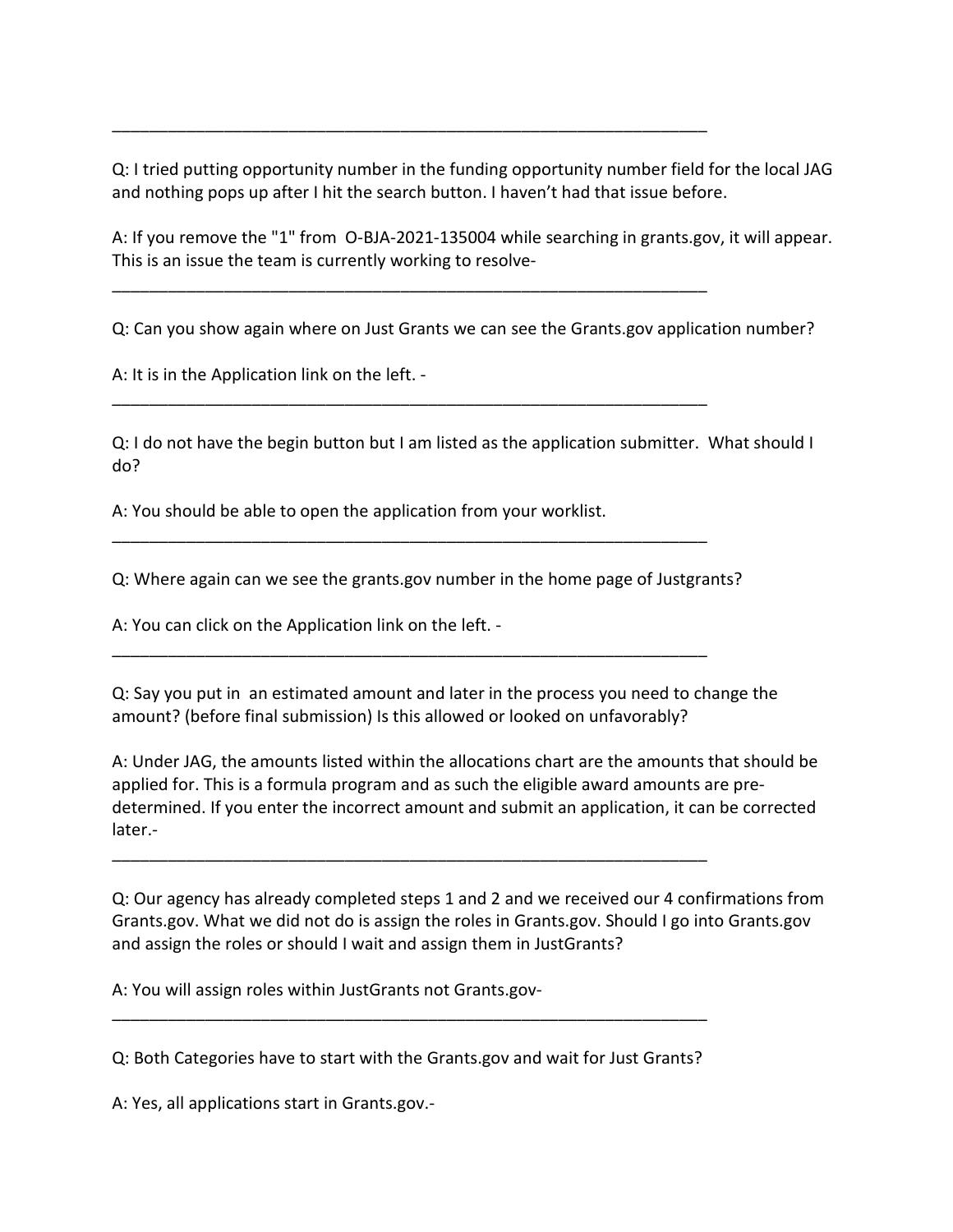Q: I tried putting opportunity number in the funding opportunity number field for the local JAG and nothing pops up after I hit the search button. I haven't had that issue before.

\_\_\_\_\_\_\_\_\_\_\_\_\_\_\_\_\_\_\_\_\_\_\_\_\_\_\_\_\_\_\_\_\_\_\_\_\_\_\_\_\_\_\_\_\_\_\_\_\_\_\_\_\_\_\_\_\_\_\_\_\_\_\_\_

\_\_\_\_\_\_\_\_\_\_\_\_\_\_\_\_\_\_\_\_\_\_\_\_\_\_\_\_\_\_\_\_\_\_\_\_\_\_\_\_\_\_\_\_\_\_\_\_\_\_\_\_\_\_\_\_\_\_\_\_\_\_\_\_

\_\_\_\_\_\_\_\_\_\_\_\_\_\_\_\_\_\_\_\_\_\_\_\_\_\_\_\_\_\_\_\_\_\_\_\_\_\_\_\_\_\_\_\_\_\_\_\_\_\_\_\_\_\_\_\_\_\_\_\_\_\_\_\_

\_\_\_\_\_\_\_\_\_\_\_\_\_\_\_\_\_\_\_\_\_\_\_\_\_\_\_\_\_\_\_\_\_\_\_\_\_\_\_\_\_\_\_\_\_\_\_\_\_\_\_\_\_\_\_\_\_\_\_\_\_\_\_\_

\_\_\_\_\_\_\_\_\_\_\_\_\_\_\_\_\_\_\_\_\_\_\_\_\_\_\_\_\_\_\_\_\_\_\_\_\_\_\_\_\_\_\_\_\_\_\_\_\_\_\_\_\_\_\_\_\_\_\_\_\_\_\_\_

\_\_\_\_\_\_\_\_\_\_\_\_\_\_\_\_\_\_\_\_\_\_\_\_\_\_\_\_\_\_\_\_\_\_\_\_\_\_\_\_\_\_\_\_\_\_\_\_\_\_\_\_\_\_\_\_\_\_\_\_\_\_\_\_

A: If you remove the "1" from O-BJA-2021-135004 while searching in grants.gov, it will appear. This is an issue the team is currently working to resolve-

Q: Can you show again where on Just Grants we can see the Grants.gov application number?

A: It is in the Application link on the left. -

Q: I do not have the begin button but I am listed as the application submitter. What should I do?

A: You should be able to open the application from your worklist.

Q: Where again can we see the grants.gov number in the home page of Justgrants?

A: You can click on the Application link on the left. -

Q: Say you put in an estimated amount and later in the process you need to change the amount? (before final submission) Is this allowed or looked on unfavorably?

A: Under JAG, the amounts listed within the allocations chart are the amounts that should be applied for. This is a formula program and as such the eligible award amounts are predetermined. If you enter the incorrect amount and submit an application, it can be corrected later.-

Q: Our agency has already completed steps 1 and 2 and we received our 4 confirmations from Grants.gov. What we did not do is assign the roles in Grants.gov. Should I go into Grants.gov and assign the roles or should I wait and assign them in JustGrants?

A: You will assign roles within JustGrants not Grants.gov-

Q: Both Categories have to start with the Grants.gov and wait for Just Grants?

\_\_\_\_\_\_\_\_\_\_\_\_\_\_\_\_\_\_\_\_\_\_\_\_\_\_\_\_\_\_\_\_\_\_\_\_\_\_\_\_\_\_\_\_\_\_\_\_\_\_\_\_\_\_\_\_\_\_\_\_\_\_\_\_

A: Yes, all applications start in Grants.gov.-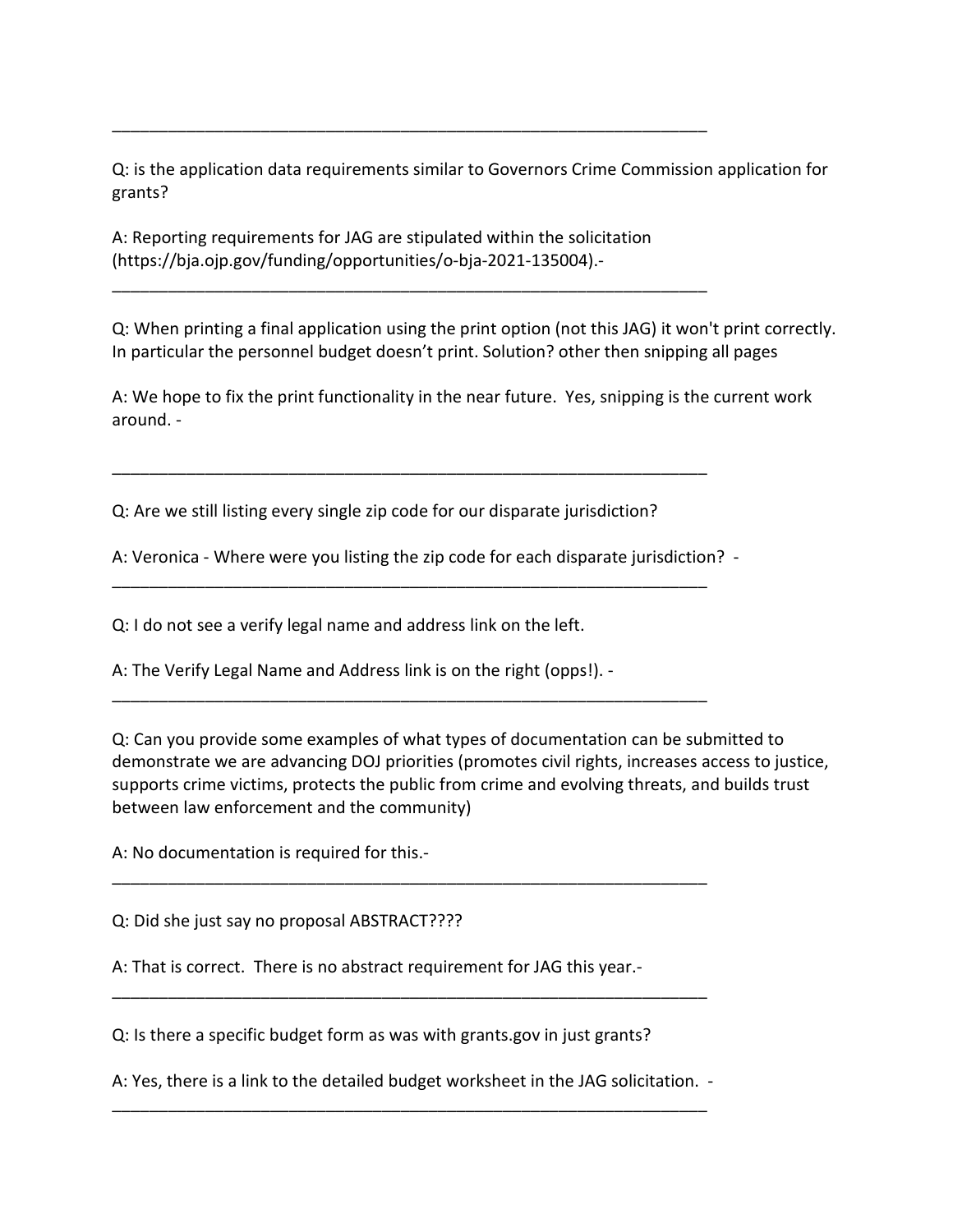Q: is the application data requirements similar to Governors Crime Commission application for grants?

A: Reporting requirements for JAG are stipulated within the solicitation (https://bja.ojp.gov/funding/opportunities/o-bja-2021-135004).-

\_\_\_\_\_\_\_\_\_\_\_\_\_\_\_\_\_\_\_\_\_\_\_\_\_\_\_\_\_\_\_\_\_\_\_\_\_\_\_\_\_\_\_\_\_\_\_\_\_\_\_\_\_\_\_\_\_\_\_\_\_\_\_\_

\_\_\_\_\_\_\_\_\_\_\_\_\_\_\_\_\_\_\_\_\_\_\_\_\_\_\_\_\_\_\_\_\_\_\_\_\_\_\_\_\_\_\_\_\_\_\_\_\_\_\_\_\_\_\_\_\_\_\_\_\_\_\_\_

Q: When printing a final application using the print option (not this JAG) it won't print correctly. In particular the personnel budget doesn't print. Solution? other then snipping all pages

A: We hope to fix the print functionality in the near future. Yes, snipping is the current work around. -

Q: Are we still listing every single zip code for our disparate jurisdiction?

\_\_\_\_\_\_\_\_\_\_\_\_\_\_\_\_\_\_\_\_\_\_\_\_\_\_\_\_\_\_\_\_\_\_\_\_\_\_\_\_\_\_\_\_\_\_\_\_\_\_\_\_\_\_\_\_\_\_\_\_\_\_\_\_

A: Veronica - Where were you listing the zip code for each disparate jurisdiction? -

\_\_\_\_\_\_\_\_\_\_\_\_\_\_\_\_\_\_\_\_\_\_\_\_\_\_\_\_\_\_\_\_\_\_\_\_\_\_\_\_\_\_\_\_\_\_\_\_\_\_\_\_\_\_\_\_\_\_\_\_\_\_\_\_

\_\_\_\_\_\_\_\_\_\_\_\_\_\_\_\_\_\_\_\_\_\_\_\_\_\_\_\_\_\_\_\_\_\_\_\_\_\_\_\_\_\_\_\_\_\_\_\_\_\_\_\_\_\_\_\_\_\_\_\_\_\_\_\_

\_\_\_\_\_\_\_\_\_\_\_\_\_\_\_\_\_\_\_\_\_\_\_\_\_\_\_\_\_\_\_\_\_\_\_\_\_\_\_\_\_\_\_\_\_\_\_\_\_\_\_\_\_\_\_\_\_\_\_\_\_\_\_\_

Q: I do not see a verify legal name and address link on the left.

A: The Verify Legal Name and Address link is on the right (opps!). -

Q: Can you provide some examples of what types of documentation can be submitted to demonstrate we are advancing DOJ priorities (promotes civil rights, increases access to justice, supports crime victims, protects the public from crime and evolving threats, and builds trust between law enforcement and the community)

A: No documentation is required for this.-

Q: Did she just say no proposal ABSTRACT????

A: That is correct. There is no abstract requirement for JAG this year.-

Q: Is there a specific budget form as was with grants.gov in just grants?

A: Yes, there is a link to the detailed budget worksheet in the JAG solicitation. - \_\_\_\_\_\_\_\_\_\_\_\_\_\_\_\_\_\_\_\_\_\_\_\_\_\_\_\_\_\_\_\_\_\_\_\_\_\_\_\_\_\_\_\_\_\_\_\_\_\_\_\_\_\_\_\_\_\_\_\_\_\_\_\_

\_\_\_\_\_\_\_\_\_\_\_\_\_\_\_\_\_\_\_\_\_\_\_\_\_\_\_\_\_\_\_\_\_\_\_\_\_\_\_\_\_\_\_\_\_\_\_\_\_\_\_\_\_\_\_\_\_\_\_\_\_\_\_\_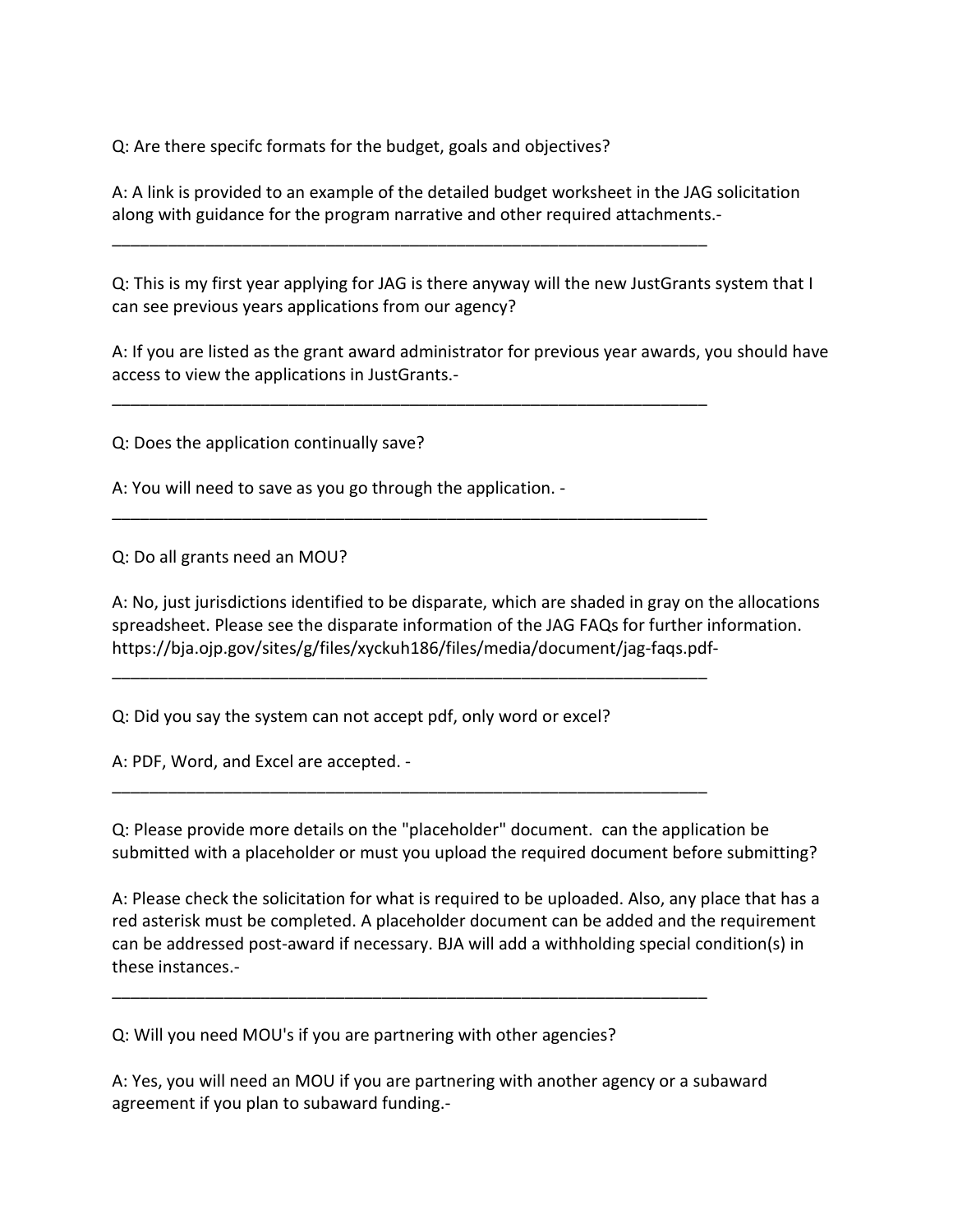Q: Are there specifc formats for the budget, goals and objectives?

A: A link is provided to an example of the detailed budget worksheet in the JAG solicitation along with guidance for the program narrative and other required attachments.-

\_\_\_\_\_\_\_\_\_\_\_\_\_\_\_\_\_\_\_\_\_\_\_\_\_\_\_\_\_\_\_\_\_\_\_\_\_\_\_\_\_\_\_\_\_\_\_\_\_\_\_\_\_\_\_\_\_\_\_\_\_\_\_\_

\_\_\_\_\_\_\_\_\_\_\_\_\_\_\_\_\_\_\_\_\_\_\_\_\_\_\_\_\_\_\_\_\_\_\_\_\_\_\_\_\_\_\_\_\_\_\_\_\_\_\_\_\_\_\_\_\_\_\_\_\_\_\_\_

\_\_\_\_\_\_\_\_\_\_\_\_\_\_\_\_\_\_\_\_\_\_\_\_\_\_\_\_\_\_\_\_\_\_\_\_\_\_\_\_\_\_\_\_\_\_\_\_\_\_\_\_\_\_\_\_\_\_\_\_\_\_\_\_

\_\_\_\_\_\_\_\_\_\_\_\_\_\_\_\_\_\_\_\_\_\_\_\_\_\_\_\_\_\_\_\_\_\_\_\_\_\_\_\_\_\_\_\_\_\_\_\_\_\_\_\_\_\_\_\_\_\_\_\_\_\_\_\_

\_\_\_\_\_\_\_\_\_\_\_\_\_\_\_\_\_\_\_\_\_\_\_\_\_\_\_\_\_\_\_\_\_\_\_\_\_\_\_\_\_\_\_\_\_\_\_\_\_\_\_\_\_\_\_\_\_\_\_\_\_\_\_\_

\_\_\_\_\_\_\_\_\_\_\_\_\_\_\_\_\_\_\_\_\_\_\_\_\_\_\_\_\_\_\_\_\_\_\_\_\_\_\_\_\_\_\_\_\_\_\_\_\_\_\_\_\_\_\_\_\_\_\_\_\_\_\_\_

Q: This is my first year applying for JAG is there anyway will the new JustGrants system that I can see previous years applications from our agency?

A: If you are listed as the grant award administrator for previous year awards, you should have access to view the applications in JustGrants.-

Q: Does the application continually save?

A: You will need to save as you go through the application. -

Q: Do all grants need an MOU?

A: No, just jurisdictions identified to be disparate, which are shaded in gray on the allocations spreadsheet. Please see the disparate information of the JAG FAQs for further information. https://bja.ojp.gov/sites/g/files/xyckuh186/files/media/document/jag-faqs.pdf-

Q: Did you say the system can not accept pdf, only word or excel?

A: PDF, Word, and Excel are accepted. -

Q: Please provide more details on the "placeholder" document. can the application be submitted with a placeholder or must you upload the required document before submitting?

A: Please check the solicitation for what is required to be uploaded. Also, any place that has a red asterisk must be completed. A placeholder document can be added and the requirement can be addressed post-award if necessary. BJA will add a withholding special condition(s) in these instances.-

Q: Will you need MOU's if you are partnering with other agencies?

A: Yes, you will need an MOU if you are partnering with another agency or a subaward agreement if you plan to subaward funding.-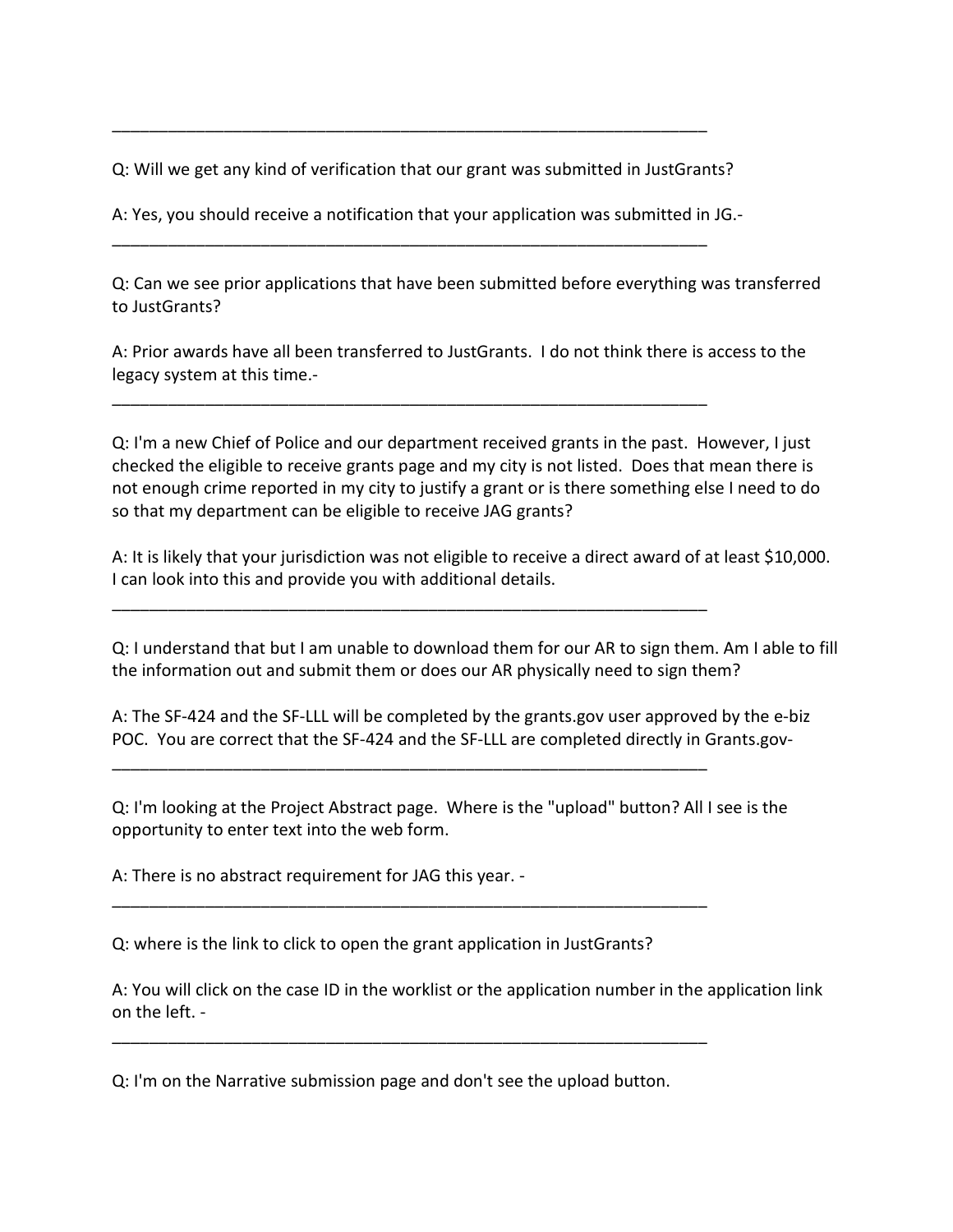Q: Will we get any kind of verification that our grant was submitted in JustGrants?

\_\_\_\_\_\_\_\_\_\_\_\_\_\_\_\_\_\_\_\_\_\_\_\_\_\_\_\_\_\_\_\_\_\_\_\_\_\_\_\_\_\_\_\_\_\_\_\_\_\_\_\_\_\_\_\_\_\_\_\_\_\_\_\_

A: Yes, you should receive a notification that your application was submitted in JG.-

\_\_\_\_\_\_\_\_\_\_\_\_\_\_\_\_\_\_\_\_\_\_\_\_\_\_\_\_\_\_\_\_\_\_\_\_\_\_\_\_\_\_\_\_\_\_\_\_\_\_\_\_\_\_\_\_\_\_\_\_\_\_\_\_

\_\_\_\_\_\_\_\_\_\_\_\_\_\_\_\_\_\_\_\_\_\_\_\_\_\_\_\_\_\_\_\_\_\_\_\_\_\_\_\_\_\_\_\_\_\_\_\_\_\_\_\_\_\_\_\_\_\_\_\_\_\_\_\_

\_\_\_\_\_\_\_\_\_\_\_\_\_\_\_\_\_\_\_\_\_\_\_\_\_\_\_\_\_\_\_\_\_\_\_\_\_\_\_\_\_\_\_\_\_\_\_\_\_\_\_\_\_\_\_\_\_\_\_\_\_\_\_\_

\_\_\_\_\_\_\_\_\_\_\_\_\_\_\_\_\_\_\_\_\_\_\_\_\_\_\_\_\_\_\_\_\_\_\_\_\_\_\_\_\_\_\_\_\_\_\_\_\_\_\_\_\_\_\_\_\_\_\_\_\_\_\_\_

\_\_\_\_\_\_\_\_\_\_\_\_\_\_\_\_\_\_\_\_\_\_\_\_\_\_\_\_\_\_\_\_\_\_\_\_\_\_\_\_\_\_\_\_\_\_\_\_\_\_\_\_\_\_\_\_\_\_\_\_\_\_\_\_

Q: Can we see prior applications that have been submitted before everything was transferred to JustGrants?

A: Prior awards have all been transferred to JustGrants. I do not think there is access to the legacy system at this time.-

Q: I'm a new Chief of Police and our department received grants in the past. However, I just checked the eligible to receive grants page and my city is not listed. Does that mean there is not enough crime reported in my city to justify a grant or is there something else I need to do so that my department can be eligible to receive JAG grants?

A: It is likely that your jurisdiction was not eligible to receive a direct award of at least \$10,000. I can look into this and provide you with additional details.

Q: I understand that but I am unable to download them for our AR to sign them. Am I able to fill the information out and submit them or does our AR physically need to sign them?

A: The SF-424 and the SF-LLL will be completed by the grants.gov user approved by the e-biz POC. You are correct that the SF-424 and the SF-LLL are completed directly in Grants.gov-

Q: I'm looking at the Project Abstract page. Where is the "upload" button? All I see is the opportunity to enter text into the web form.

A: There is no abstract requirement for JAG this year. -

Q: where is the link to click to open the grant application in JustGrants?

A: You will click on the case ID in the worklist or the application number in the application link on the left. -

Q: I'm on the Narrative submission page and don't see the upload button.

\_\_\_\_\_\_\_\_\_\_\_\_\_\_\_\_\_\_\_\_\_\_\_\_\_\_\_\_\_\_\_\_\_\_\_\_\_\_\_\_\_\_\_\_\_\_\_\_\_\_\_\_\_\_\_\_\_\_\_\_\_\_\_\_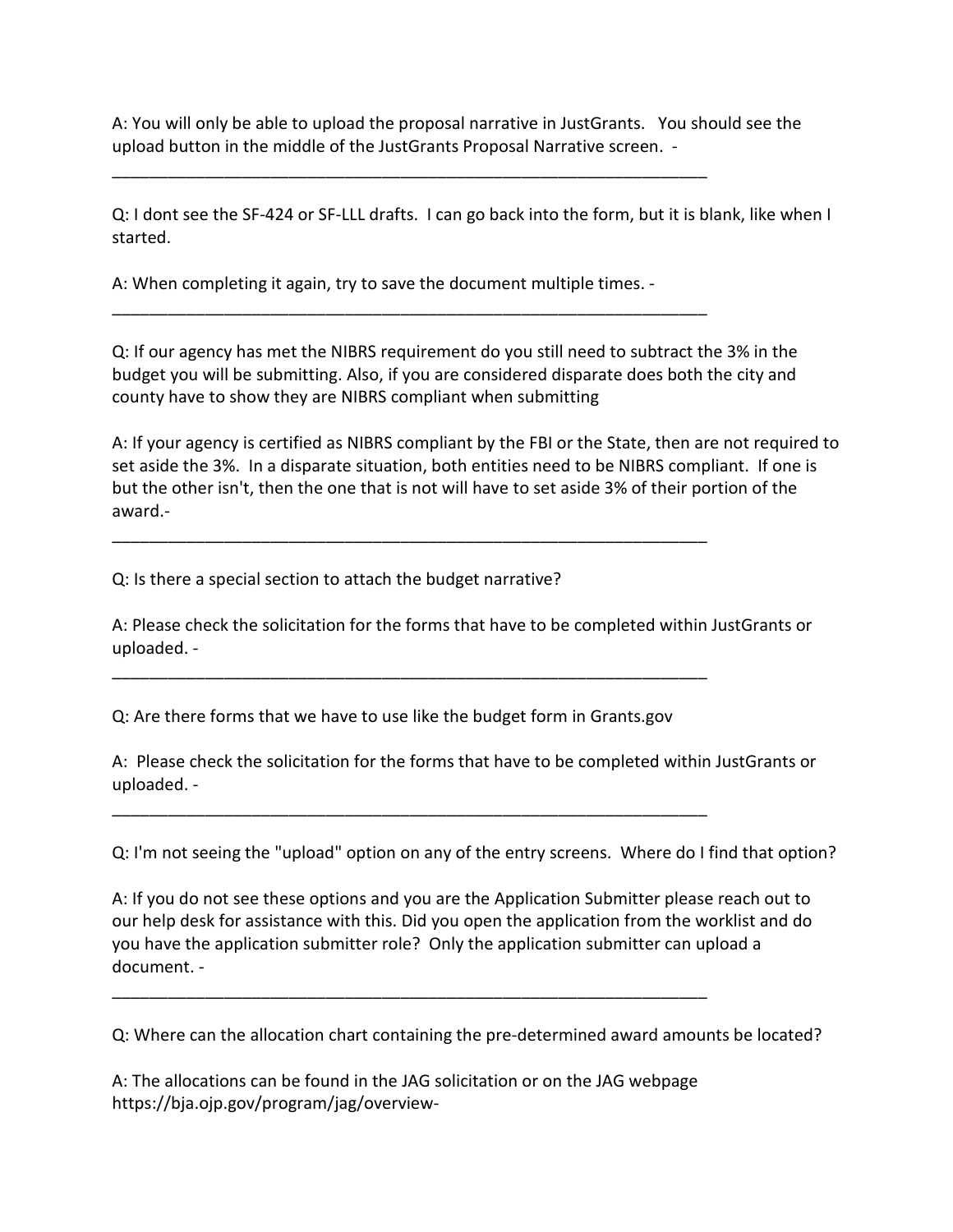A: You will only be able to upload the proposal narrative in JustGrants. You should see the upload button in the middle of the JustGrants Proposal Narrative screen. -

Q: I dont see the SF-424 or SF-LLL drafts. I can go back into the form, but it is blank, like when I started.

A: When completing it again, try to save the document multiple times. -

\_\_\_\_\_\_\_\_\_\_\_\_\_\_\_\_\_\_\_\_\_\_\_\_\_\_\_\_\_\_\_\_\_\_\_\_\_\_\_\_\_\_\_\_\_\_\_\_\_\_\_\_\_\_\_\_\_\_\_\_\_\_\_\_

\_\_\_\_\_\_\_\_\_\_\_\_\_\_\_\_\_\_\_\_\_\_\_\_\_\_\_\_\_\_\_\_\_\_\_\_\_\_\_\_\_\_\_\_\_\_\_\_\_\_\_\_\_\_\_\_\_\_\_\_\_\_\_\_

\_\_\_\_\_\_\_\_\_\_\_\_\_\_\_\_\_\_\_\_\_\_\_\_\_\_\_\_\_\_\_\_\_\_\_\_\_\_\_\_\_\_\_\_\_\_\_\_\_\_\_\_\_\_\_\_\_\_\_\_\_\_\_\_

Q: If our agency has met the NIBRS requirement do you still need to subtract the 3% in the budget you will be submitting. Also, if you are considered disparate does both the city and county have to show they are NIBRS compliant when submitting

A: If your agency is certified as NIBRS compliant by the FBI or the State, then are not required to set aside the 3%. In a disparate situation, both entities need to be NIBRS compliant. If one is but the other isn't, then the one that is not will have to set aside 3% of their portion of the award.-

Q: Is there a special section to attach the budget narrative?

A: Please check the solicitation for the forms that have to be completed within JustGrants or uploaded. -

Q: Are there forms that we have to use like the budget form in Grants.gov

\_\_\_\_\_\_\_\_\_\_\_\_\_\_\_\_\_\_\_\_\_\_\_\_\_\_\_\_\_\_\_\_\_\_\_\_\_\_\_\_\_\_\_\_\_\_\_\_\_\_\_\_\_\_\_\_\_\_\_\_\_\_\_\_

\_\_\_\_\_\_\_\_\_\_\_\_\_\_\_\_\_\_\_\_\_\_\_\_\_\_\_\_\_\_\_\_\_\_\_\_\_\_\_\_\_\_\_\_\_\_\_\_\_\_\_\_\_\_\_\_\_\_\_\_\_\_\_\_

A: Please check the solicitation for the forms that have to be completed within JustGrants or uploaded. -

Q: I'm not seeing the "upload" option on any of the entry screens. Where do I find that option?

A: If you do not see these options and you are the Application Submitter please reach out to our help desk for assistance with this. Did you open the application from the worklist and do you have the application submitter role? Only the application submitter can upload a document. -

Q: Where can the allocation chart containing the pre-determined award amounts be located?

A: The allocations can be found in the JAG solicitation or on the JAG webpage https://bja.ojp.gov/program/jag/overview-

\_\_\_\_\_\_\_\_\_\_\_\_\_\_\_\_\_\_\_\_\_\_\_\_\_\_\_\_\_\_\_\_\_\_\_\_\_\_\_\_\_\_\_\_\_\_\_\_\_\_\_\_\_\_\_\_\_\_\_\_\_\_\_\_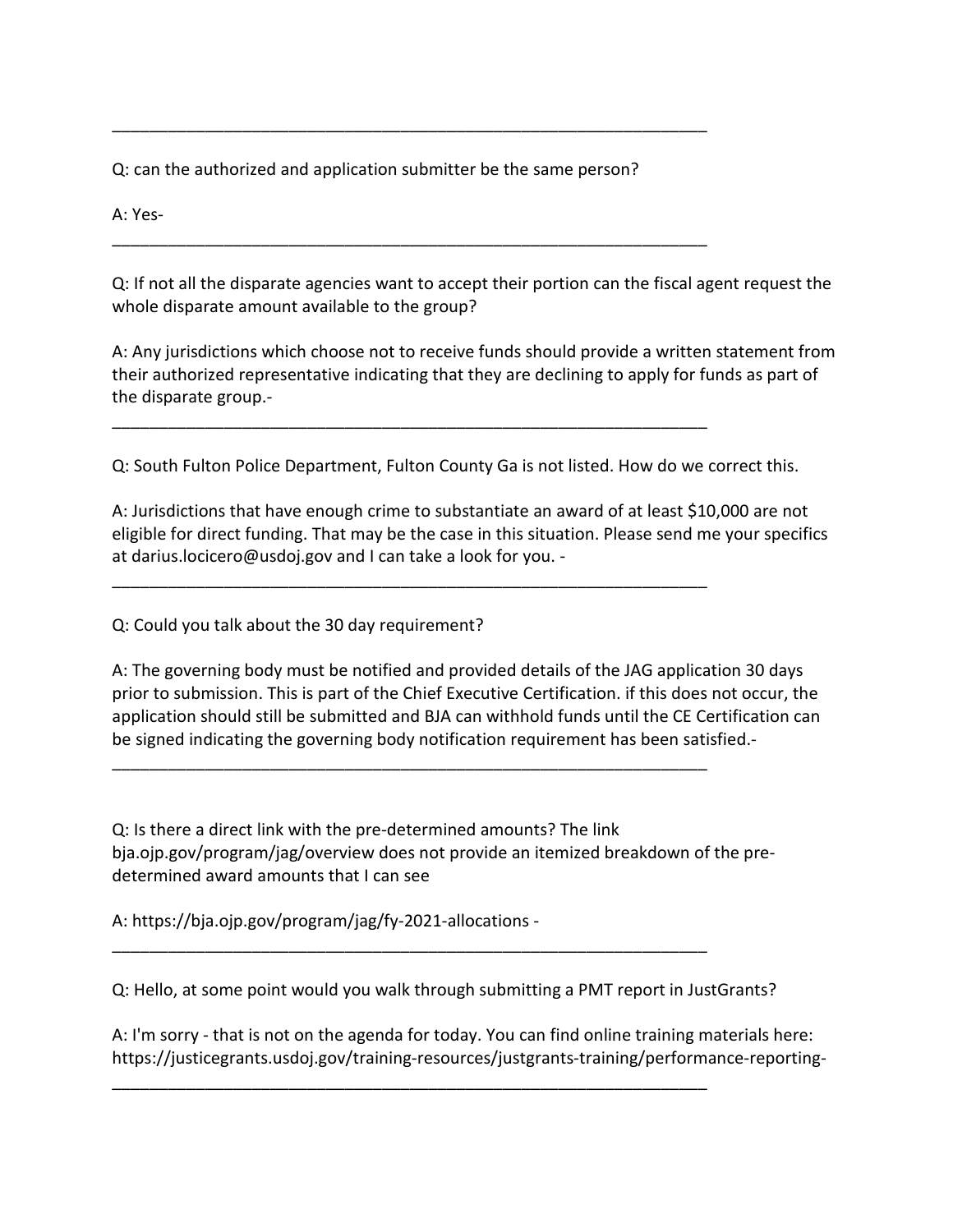Q: can the authorized and application submitter be the same person?

\_\_\_\_\_\_\_\_\_\_\_\_\_\_\_\_\_\_\_\_\_\_\_\_\_\_\_\_\_\_\_\_\_\_\_\_\_\_\_\_\_\_\_\_\_\_\_\_\_\_\_\_\_\_\_\_\_\_\_\_\_\_\_\_

\_\_\_\_\_\_\_\_\_\_\_\_\_\_\_\_\_\_\_\_\_\_\_\_\_\_\_\_\_\_\_\_\_\_\_\_\_\_\_\_\_\_\_\_\_\_\_\_\_\_\_\_\_\_\_\_\_\_\_\_\_\_\_\_

\_\_\_\_\_\_\_\_\_\_\_\_\_\_\_\_\_\_\_\_\_\_\_\_\_\_\_\_\_\_\_\_\_\_\_\_\_\_\_\_\_\_\_\_\_\_\_\_\_\_\_\_\_\_\_\_\_\_\_\_\_\_\_\_

\_\_\_\_\_\_\_\_\_\_\_\_\_\_\_\_\_\_\_\_\_\_\_\_\_\_\_\_\_\_\_\_\_\_\_\_\_\_\_\_\_\_\_\_\_\_\_\_\_\_\_\_\_\_\_\_\_\_\_\_\_\_\_\_

\_\_\_\_\_\_\_\_\_\_\_\_\_\_\_\_\_\_\_\_\_\_\_\_\_\_\_\_\_\_\_\_\_\_\_\_\_\_\_\_\_\_\_\_\_\_\_\_\_\_\_\_\_\_\_\_\_\_\_\_\_\_\_\_

\_\_\_\_\_\_\_\_\_\_\_\_\_\_\_\_\_\_\_\_\_\_\_\_\_\_\_\_\_\_\_\_\_\_\_\_\_\_\_\_\_\_\_\_\_\_\_\_\_\_\_\_\_\_\_\_\_\_\_\_\_\_\_\_

\_\_\_\_\_\_\_\_\_\_\_\_\_\_\_\_\_\_\_\_\_\_\_\_\_\_\_\_\_\_\_\_\_\_\_\_\_\_\_\_\_\_\_\_\_\_\_\_\_\_\_\_\_\_\_\_\_\_\_\_\_\_\_\_

A: Yes-

Q: If not all the disparate agencies want to accept their portion can the fiscal agent request the whole disparate amount available to the group?

A: Any jurisdictions which choose not to receive funds should provide a written statement from their authorized representative indicating that they are declining to apply for funds as part of the disparate group.-

Q: South Fulton Police Department, Fulton County Ga is not listed. How do we correct this.

A: Jurisdictions that have enough crime to substantiate an award of at least \$10,000 are not eligible for direct funding. That may be the case in this situation. Please send me your specifics at darius.locicero@usdoj.gov and I can take a look for you. -

Q: Could you talk about the 30 day requirement?

A: The governing body must be notified and provided details of the JAG application 30 days prior to submission. This is part of the Chief Executive Certification. if this does not occur, the application should still be submitted and BJA can withhold funds until the CE Certification can be signed indicating the governing body notification requirement has been satisfied.-

Q: Is there a direct link with the pre-determined amounts? The link bja.ojp.gov/program/jag/overview does not provide an itemized breakdown of the predetermined award amounts that I can see

A: https://bja.ojp.gov/program/jag/fy-2021-allocations -

Q: Hello, at some point would you walk through submitting a PMT report in JustGrants?

A: I'm sorry - that is not on the agenda for today. You can find online training materials here: https://justicegrants.usdoj.gov/training-resources/justgrants-training/performance-reporting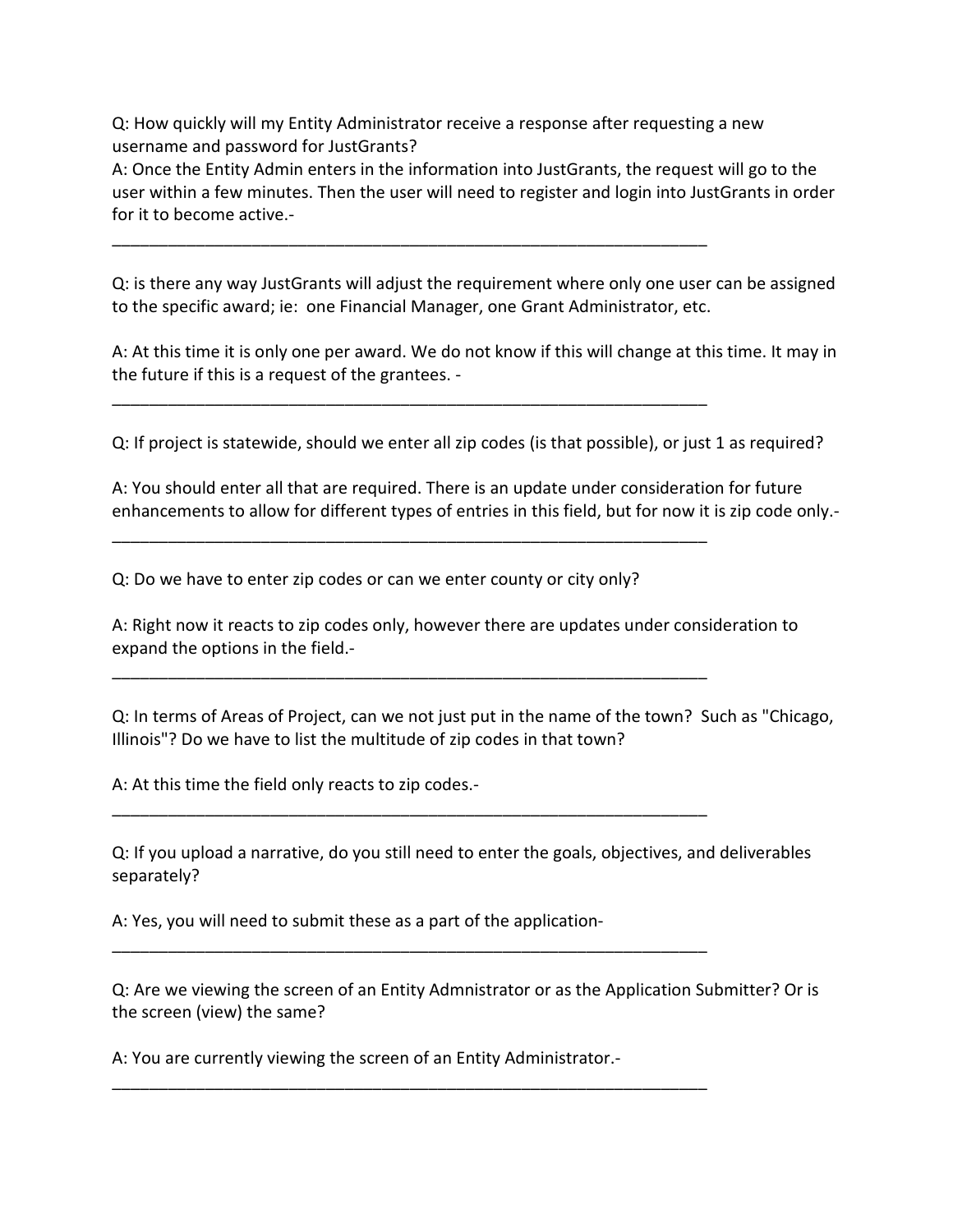Q: How quickly will my Entity Administrator receive a response after requesting a new username and password for JustGrants?

\_\_\_\_\_\_\_\_\_\_\_\_\_\_\_\_\_\_\_\_\_\_\_\_\_\_\_\_\_\_\_\_\_\_\_\_\_\_\_\_\_\_\_\_\_\_\_\_\_\_\_\_\_\_\_\_\_\_\_\_\_\_\_\_

\_\_\_\_\_\_\_\_\_\_\_\_\_\_\_\_\_\_\_\_\_\_\_\_\_\_\_\_\_\_\_\_\_\_\_\_\_\_\_\_\_\_\_\_\_\_\_\_\_\_\_\_\_\_\_\_\_\_\_\_\_\_\_\_

\_\_\_\_\_\_\_\_\_\_\_\_\_\_\_\_\_\_\_\_\_\_\_\_\_\_\_\_\_\_\_\_\_\_\_\_\_\_\_\_\_\_\_\_\_\_\_\_\_\_\_\_\_\_\_\_\_\_\_\_\_\_\_\_

\_\_\_\_\_\_\_\_\_\_\_\_\_\_\_\_\_\_\_\_\_\_\_\_\_\_\_\_\_\_\_\_\_\_\_\_\_\_\_\_\_\_\_\_\_\_\_\_\_\_\_\_\_\_\_\_\_\_\_\_\_\_\_\_

\_\_\_\_\_\_\_\_\_\_\_\_\_\_\_\_\_\_\_\_\_\_\_\_\_\_\_\_\_\_\_\_\_\_\_\_\_\_\_\_\_\_\_\_\_\_\_\_\_\_\_\_\_\_\_\_\_\_\_\_\_\_\_\_

\_\_\_\_\_\_\_\_\_\_\_\_\_\_\_\_\_\_\_\_\_\_\_\_\_\_\_\_\_\_\_\_\_\_\_\_\_\_\_\_\_\_\_\_\_\_\_\_\_\_\_\_\_\_\_\_\_\_\_\_\_\_\_\_

\_\_\_\_\_\_\_\_\_\_\_\_\_\_\_\_\_\_\_\_\_\_\_\_\_\_\_\_\_\_\_\_\_\_\_\_\_\_\_\_\_\_\_\_\_\_\_\_\_\_\_\_\_\_\_\_\_\_\_\_\_\_\_\_

A: Once the Entity Admin enters in the information into JustGrants, the request will go to the user within a few minutes. Then the user will need to register and login into JustGrants in order for it to become active.-

Q: is there any way JustGrants will adjust the requirement where only one user can be assigned to the specific award; ie: one Financial Manager, one Grant Administrator, etc.

A: At this time it is only one per award. We do not know if this will change at this time. It may in the future if this is a request of the grantees. -

Q: If project is statewide, should we enter all zip codes (is that possible), or just 1 as required?

A: You should enter all that are required. There is an update under consideration for future enhancements to allow for different types of entries in this field, but for now it is zip code only.-

Q: Do we have to enter zip codes or can we enter county or city only?

A: Right now it reacts to zip codes only, however there are updates under consideration to expand the options in the field.-

Q: In terms of Areas of Project, can we not just put in the name of the town? Such as "Chicago, Illinois"? Do we have to list the multitude of zip codes in that town?

A: At this time the field only reacts to zip codes.-

Q: If you upload a narrative, do you still need to enter the goals, objectives, and deliverables separately?

A: Yes, you will need to submit these as a part of the application-

Q: Are we viewing the screen of an Entity Admnistrator or as the Application Submitter? Or is the screen (view) the same?

A: You are currently viewing the screen of an Entity Administrator.-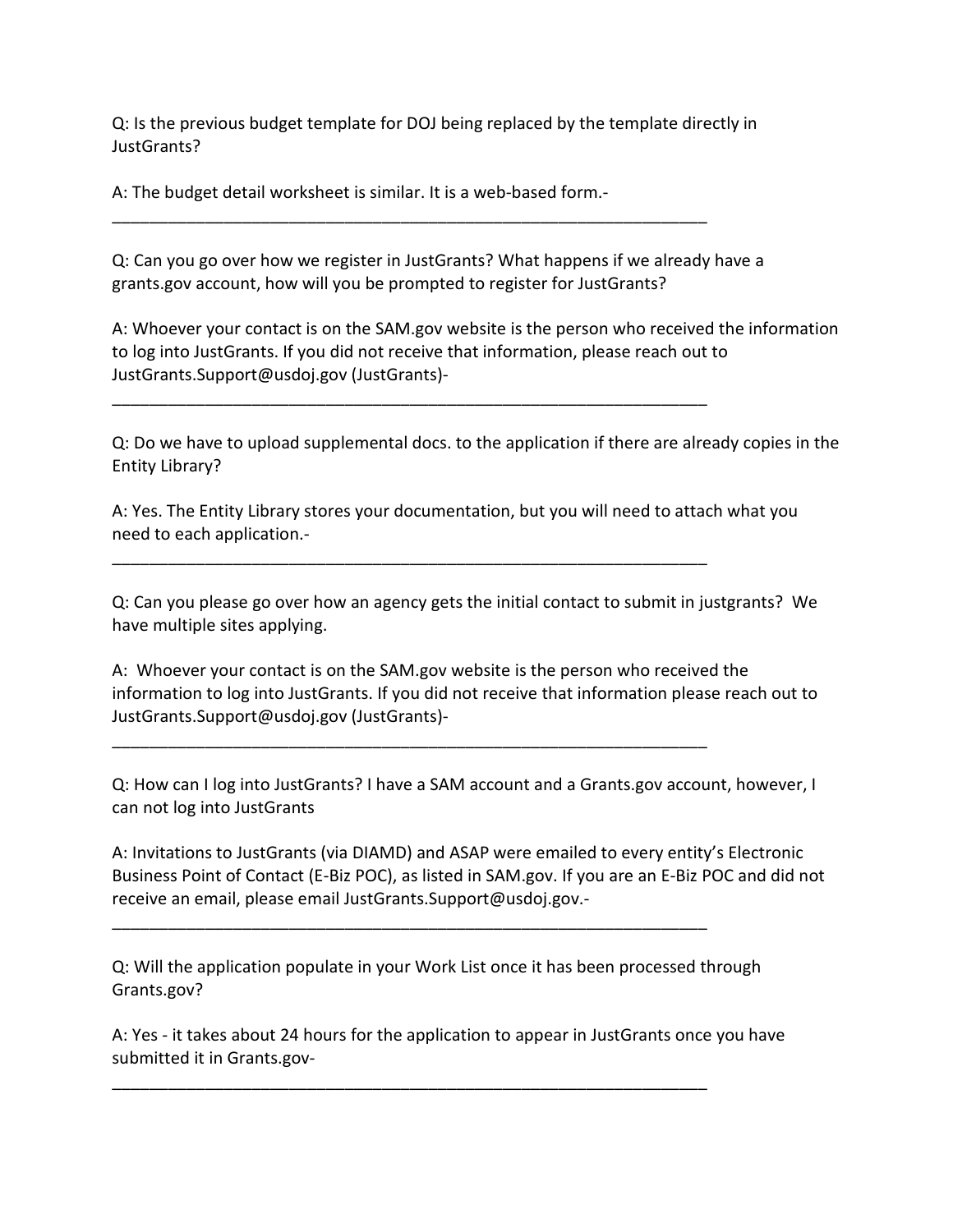Q: Is the previous budget template for DOJ being replaced by the template directly in JustGrants?

A: The budget detail worksheet is similar. It is a web-based form.-

Q: Can you go over how we register in JustGrants? What happens if we already have a grants.gov account, how will you be prompted to register for JustGrants?

\_\_\_\_\_\_\_\_\_\_\_\_\_\_\_\_\_\_\_\_\_\_\_\_\_\_\_\_\_\_\_\_\_\_\_\_\_\_\_\_\_\_\_\_\_\_\_\_\_\_\_\_\_\_\_\_\_\_\_\_\_\_\_\_

\_\_\_\_\_\_\_\_\_\_\_\_\_\_\_\_\_\_\_\_\_\_\_\_\_\_\_\_\_\_\_\_\_\_\_\_\_\_\_\_\_\_\_\_\_\_\_\_\_\_\_\_\_\_\_\_\_\_\_\_\_\_\_\_

\_\_\_\_\_\_\_\_\_\_\_\_\_\_\_\_\_\_\_\_\_\_\_\_\_\_\_\_\_\_\_\_\_\_\_\_\_\_\_\_\_\_\_\_\_\_\_\_\_\_\_\_\_\_\_\_\_\_\_\_\_\_\_\_

\_\_\_\_\_\_\_\_\_\_\_\_\_\_\_\_\_\_\_\_\_\_\_\_\_\_\_\_\_\_\_\_\_\_\_\_\_\_\_\_\_\_\_\_\_\_\_\_\_\_\_\_\_\_\_\_\_\_\_\_\_\_\_\_

\_\_\_\_\_\_\_\_\_\_\_\_\_\_\_\_\_\_\_\_\_\_\_\_\_\_\_\_\_\_\_\_\_\_\_\_\_\_\_\_\_\_\_\_\_\_\_\_\_\_\_\_\_\_\_\_\_\_\_\_\_\_\_\_

\_\_\_\_\_\_\_\_\_\_\_\_\_\_\_\_\_\_\_\_\_\_\_\_\_\_\_\_\_\_\_\_\_\_\_\_\_\_\_\_\_\_\_\_\_\_\_\_\_\_\_\_\_\_\_\_\_\_\_\_\_\_\_\_

A: Whoever your contact is on the SAM.gov website is the person who received the information to log into JustGrants. If you did not receive that information, please reach out to JustGrants.Support@usdoj.gov (JustGrants)-

Q: Do we have to upload supplemental docs. to the application if there are already copies in the Entity Library?

A: Yes. The Entity Library stores your documentation, but you will need to attach what you need to each application.-

Q: Can you please go over how an agency gets the initial contact to submit in justgrants? We have multiple sites applying.

A: Whoever your contact is on the SAM.gov website is the person who received the information to log into JustGrants. If you did not receive that information please reach out to JustGrants.Support@usdoj.gov (JustGrants)-

Q: How can I log into JustGrants? I have a SAM account and a Grants.gov account, however, I can not log into JustGrants

A: Invitations to JustGrants (via DIAMD) and ASAP were emailed to every entity's Electronic Business Point of Contact (E-Biz POC), as listed in SAM.gov. If you are an E-Biz POC and did not receive an email, please email JustGrants.Support@usdoj.gov.-

Q: Will the application populate in your Work List once it has been processed through Grants.gov?

A: Yes - it takes about 24 hours for the application to appear in JustGrants once you have submitted it in Grants.gov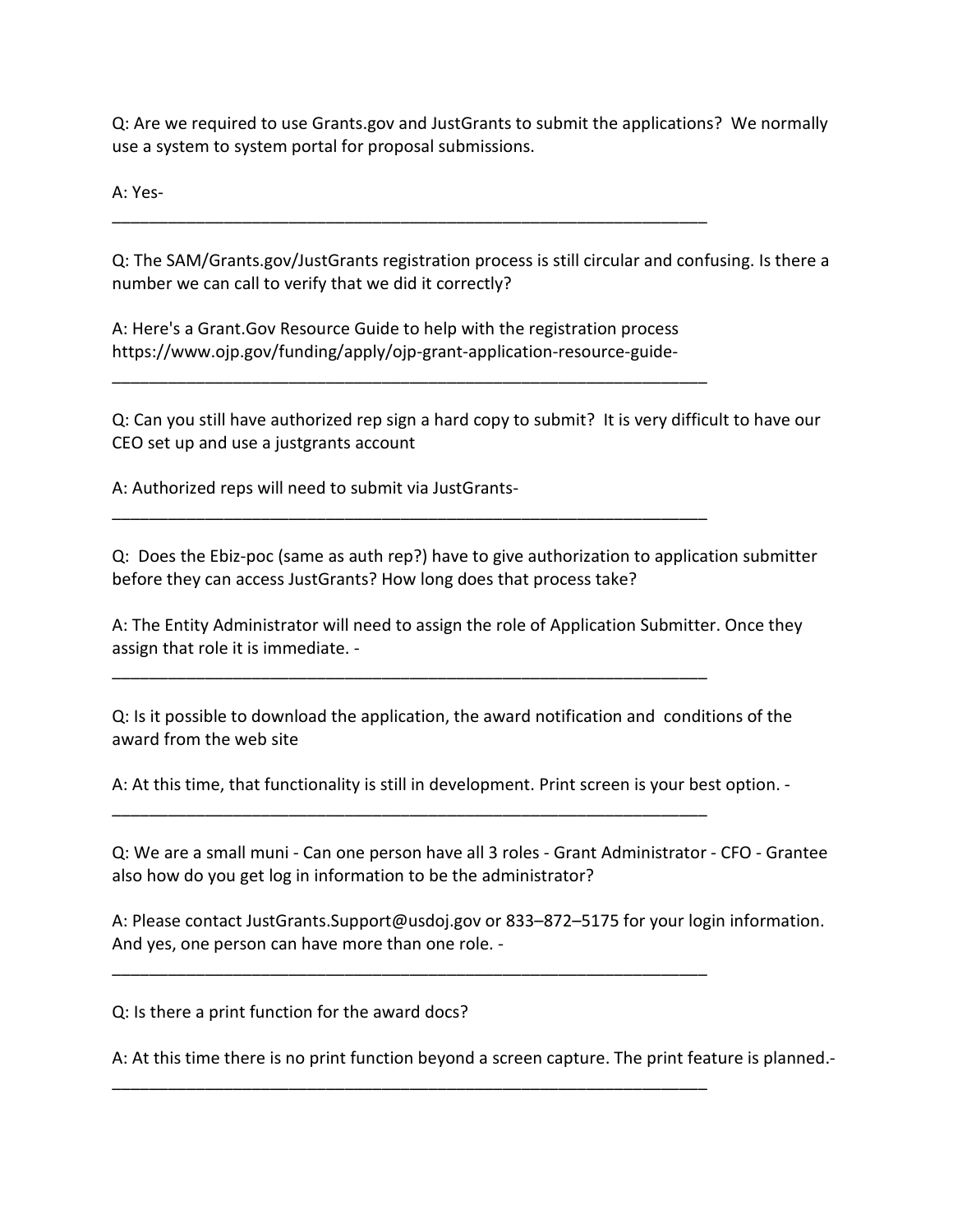Q: Are we required to use Grants.gov and JustGrants to submit the applications? We normally use a system to system portal for proposal submissions.

A: Yes-

Q: The SAM/Grants.gov/JustGrants registration process is still circular and confusing. Is there a number we can call to verify that we did it correctly?

A: Here's a Grant.Gov Resource Guide to help with the registration process https://www.ojp.gov/funding/apply/ojp-grant-application-resource-guide-

\_\_\_\_\_\_\_\_\_\_\_\_\_\_\_\_\_\_\_\_\_\_\_\_\_\_\_\_\_\_\_\_\_\_\_\_\_\_\_\_\_\_\_\_\_\_\_\_\_\_\_\_\_\_\_\_\_\_\_\_\_\_\_\_

\_\_\_\_\_\_\_\_\_\_\_\_\_\_\_\_\_\_\_\_\_\_\_\_\_\_\_\_\_\_\_\_\_\_\_\_\_\_\_\_\_\_\_\_\_\_\_\_\_\_\_\_\_\_\_\_\_\_\_\_\_\_\_\_

\_\_\_\_\_\_\_\_\_\_\_\_\_\_\_\_\_\_\_\_\_\_\_\_\_\_\_\_\_\_\_\_\_\_\_\_\_\_\_\_\_\_\_\_\_\_\_\_\_\_\_\_\_\_\_\_\_\_\_\_\_\_\_\_

\_\_\_\_\_\_\_\_\_\_\_\_\_\_\_\_\_\_\_\_\_\_\_\_\_\_\_\_\_\_\_\_\_\_\_\_\_\_\_\_\_\_\_\_\_\_\_\_\_\_\_\_\_\_\_\_\_\_\_\_\_\_\_\_

\_\_\_\_\_\_\_\_\_\_\_\_\_\_\_\_\_\_\_\_\_\_\_\_\_\_\_\_\_\_\_\_\_\_\_\_\_\_\_\_\_\_\_\_\_\_\_\_\_\_\_\_\_\_\_\_\_\_\_\_\_\_\_\_

\_\_\_\_\_\_\_\_\_\_\_\_\_\_\_\_\_\_\_\_\_\_\_\_\_\_\_\_\_\_\_\_\_\_\_\_\_\_\_\_\_\_\_\_\_\_\_\_\_\_\_\_\_\_\_\_\_\_\_\_\_\_\_\_

\_\_\_\_\_\_\_\_\_\_\_\_\_\_\_\_\_\_\_\_\_\_\_\_\_\_\_\_\_\_\_\_\_\_\_\_\_\_\_\_\_\_\_\_\_\_\_\_\_\_\_\_\_\_\_\_\_\_\_\_\_\_\_\_

Q: Can you still have authorized rep sign a hard copy to submit? It is very difficult to have our CEO set up and use a justgrants account

A: Authorized reps will need to submit via JustGrants-

Q: Does the Ebiz-poc (same as auth rep?) have to give authorization to application submitter before they can access JustGrants? How long does that process take?

A: The Entity Administrator will need to assign the role of Application Submitter. Once they assign that role it is immediate. -

Q: Is it possible to download the application, the award notification and conditions of the award from the web site

A: At this time, that functionality is still in development. Print screen is your best option. -

Q: We are a small muni - Can one person have all 3 roles - Grant Administrator - CFO - Grantee also how do you get log in information to be the administrator?

A: Please contact JustGrants.Support@usdoj.gov or 833–872–5175 for your login information. And yes, one person can have more than one role. -

Q: Is there a print function for the award docs?

A: At this time there is no print function beyond a screen capture. The print feature is planned.-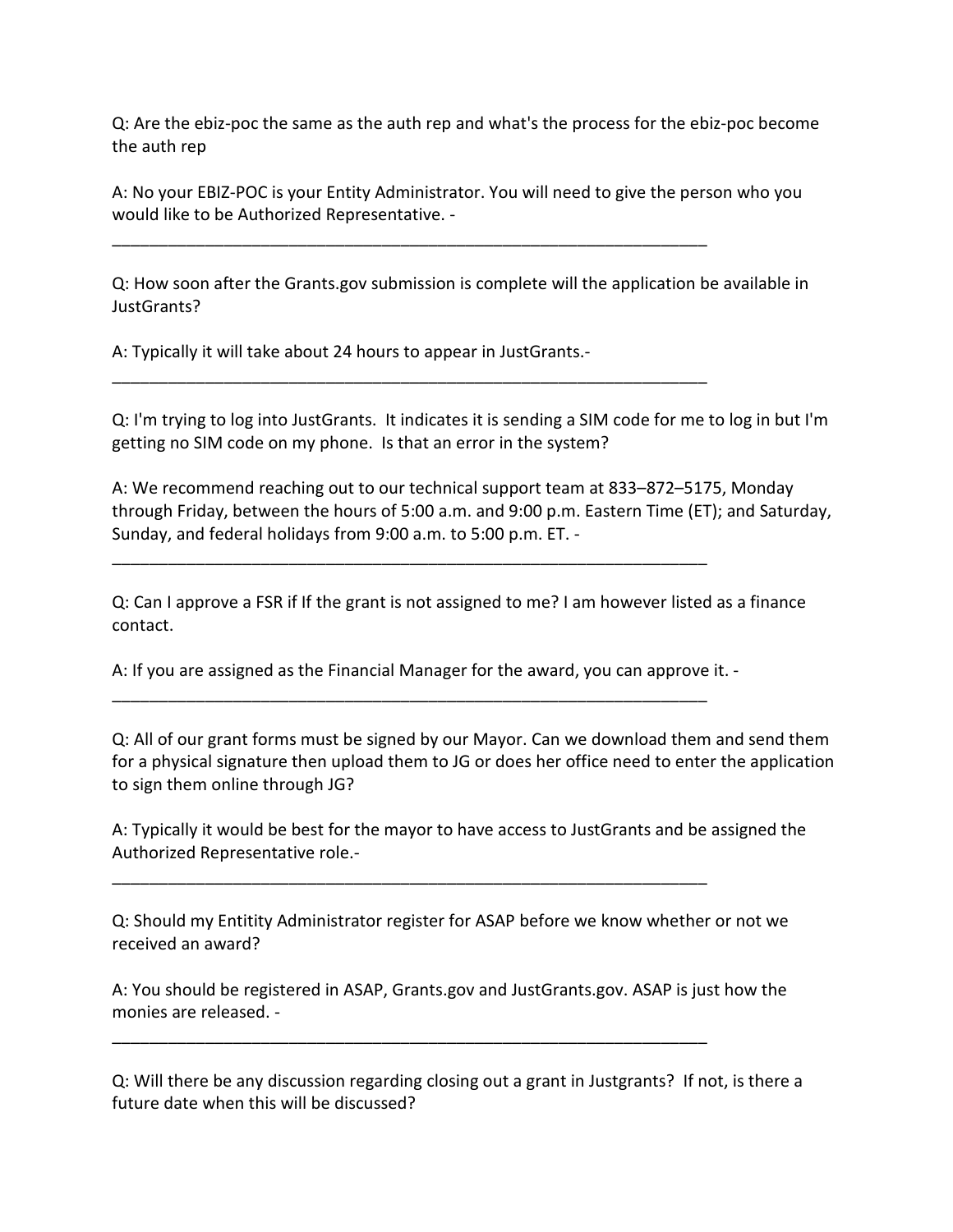Q: Are the ebiz-poc the same as the auth rep and what's the process for the ebiz-poc become the auth rep

A: No your EBIZ-POC is your Entity Administrator. You will need to give the person who you would like to be Authorized Representative. -

\_\_\_\_\_\_\_\_\_\_\_\_\_\_\_\_\_\_\_\_\_\_\_\_\_\_\_\_\_\_\_\_\_\_\_\_\_\_\_\_\_\_\_\_\_\_\_\_\_\_\_\_\_\_\_\_\_\_\_\_\_\_\_\_

\_\_\_\_\_\_\_\_\_\_\_\_\_\_\_\_\_\_\_\_\_\_\_\_\_\_\_\_\_\_\_\_\_\_\_\_\_\_\_\_\_\_\_\_\_\_\_\_\_\_\_\_\_\_\_\_\_\_\_\_\_\_\_\_

\_\_\_\_\_\_\_\_\_\_\_\_\_\_\_\_\_\_\_\_\_\_\_\_\_\_\_\_\_\_\_\_\_\_\_\_\_\_\_\_\_\_\_\_\_\_\_\_\_\_\_\_\_\_\_\_\_\_\_\_\_\_\_\_

Q: How soon after the Grants.gov submission is complete will the application be available in JustGrants?

A: Typically it will take about 24 hours to appear in JustGrants.-

Q: I'm trying to log into JustGrants. It indicates it is sending a SIM code for me to log in but I'm getting no SIM code on my phone. Is that an error in the system?

A: We recommend reaching out to our technical support team at 833–872–5175, Monday through Friday, between the hours of 5:00 a.m. and 9:00 p.m. Eastern Time (ET); and Saturday, Sunday, and federal holidays from 9:00 a.m. to 5:00 p.m. ET. -

Q: Can I approve a FSR if If the grant is not assigned to me? I am however listed as a finance contact.

A: If you are assigned as the Financial Manager for the award, you can approve it. -

\_\_\_\_\_\_\_\_\_\_\_\_\_\_\_\_\_\_\_\_\_\_\_\_\_\_\_\_\_\_\_\_\_\_\_\_\_\_\_\_\_\_\_\_\_\_\_\_\_\_\_\_\_\_\_\_\_\_\_\_\_\_\_\_

\_\_\_\_\_\_\_\_\_\_\_\_\_\_\_\_\_\_\_\_\_\_\_\_\_\_\_\_\_\_\_\_\_\_\_\_\_\_\_\_\_\_\_\_\_\_\_\_\_\_\_\_\_\_\_\_\_\_\_\_\_\_\_\_

\_\_\_\_\_\_\_\_\_\_\_\_\_\_\_\_\_\_\_\_\_\_\_\_\_\_\_\_\_\_\_\_\_\_\_\_\_\_\_\_\_\_\_\_\_\_\_\_\_\_\_\_\_\_\_\_\_\_\_\_\_\_\_\_

Q: All of our grant forms must be signed by our Mayor. Can we download them and send them for a physical signature then upload them to JG or does her office need to enter the application to sign them online through JG?

A: Typically it would be best for the mayor to have access to JustGrants and be assigned the Authorized Representative role.-

Q: Should my Entitity Administrator register for ASAP before we know whether or not we received an award?

A: You should be registered in ASAP, Grants.gov and JustGrants.gov. ASAP is just how the monies are released. -

Q: Will there be any discussion regarding closing out a grant in Justgrants? If not, is there a future date when this will be discussed?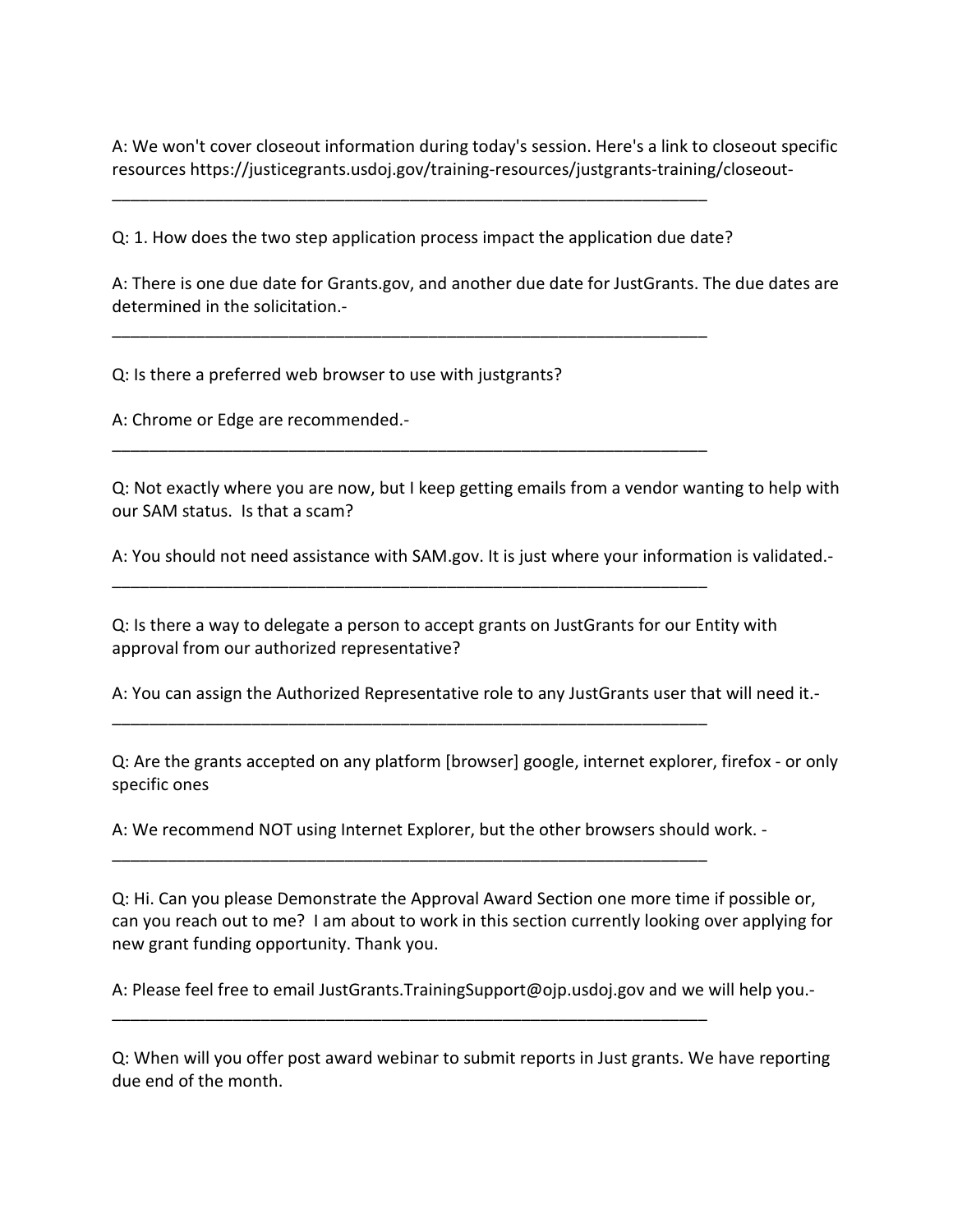A: We won't cover closeout information during today's session. Here's a link to closeout specific resources https://justicegrants.usdoj.gov/training-resources/justgrants-training/closeout-

Q: 1. How does the two step application process impact the application due date?

\_\_\_\_\_\_\_\_\_\_\_\_\_\_\_\_\_\_\_\_\_\_\_\_\_\_\_\_\_\_\_\_\_\_\_\_\_\_\_\_\_\_\_\_\_\_\_\_\_\_\_\_\_\_\_\_\_\_\_\_\_\_\_\_

\_\_\_\_\_\_\_\_\_\_\_\_\_\_\_\_\_\_\_\_\_\_\_\_\_\_\_\_\_\_\_\_\_\_\_\_\_\_\_\_\_\_\_\_\_\_\_\_\_\_\_\_\_\_\_\_\_\_\_\_\_\_\_\_

\_\_\_\_\_\_\_\_\_\_\_\_\_\_\_\_\_\_\_\_\_\_\_\_\_\_\_\_\_\_\_\_\_\_\_\_\_\_\_\_\_\_\_\_\_\_\_\_\_\_\_\_\_\_\_\_\_\_\_\_\_\_\_\_

\_\_\_\_\_\_\_\_\_\_\_\_\_\_\_\_\_\_\_\_\_\_\_\_\_\_\_\_\_\_\_\_\_\_\_\_\_\_\_\_\_\_\_\_\_\_\_\_\_\_\_\_\_\_\_\_\_\_\_\_\_\_\_\_

\_\_\_\_\_\_\_\_\_\_\_\_\_\_\_\_\_\_\_\_\_\_\_\_\_\_\_\_\_\_\_\_\_\_\_\_\_\_\_\_\_\_\_\_\_\_\_\_\_\_\_\_\_\_\_\_\_\_\_\_\_\_\_\_

\_\_\_\_\_\_\_\_\_\_\_\_\_\_\_\_\_\_\_\_\_\_\_\_\_\_\_\_\_\_\_\_\_\_\_\_\_\_\_\_\_\_\_\_\_\_\_\_\_\_\_\_\_\_\_\_\_\_\_\_\_\_\_\_

\_\_\_\_\_\_\_\_\_\_\_\_\_\_\_\_\_\_\_\_\_\_\_\_\_\_\_\_\_\_\_\_\_\_\_\_\_\_\_\_\_\_\_\_\_\_\_\_\_\_\_\_\_\_\_\_\_\_\_\_\_\_\_\_

A: There is one due date for Grants.gov, and another due date for JustGrants. The due dates are determined in the solicitation.-

Q: Is there a preferred web browser to use with justgrants?

A: Chrome or Edge are recommended.-

Q: Not exactly where you are now, but I keep getting emails from a vendor wanting to help with our SAM status. Is that a scam?

A: You should not need assistance with SAM.gov. It is just where your information is validated.-

Q: Is there a way to delegate a person to accept grants on JustGrants for our Entity with approval from our authorized representative?

A: You can assign the Authorized Representative role to any JustGrants user that will need it.-

Q: Are the grants accepted on any platform [browser] google, internet explorer, firefox - or only specific ones

A: We recommend NOT using Internet Explorer, but the other browsers should work. -

Q: Hi. Can you please Demonstrate the Approval Award Section one more time if possible or, can you reach out to me? I am about to work in this section currently looking over applying for new grant funding opportunity. Thank you.

A: Please feel free to email JustGrants.TrainingSupport@ojp.usdoj.gov and we will help you.-

Q: When will you offer post award webinar to submit reports in Just grants. We have reporting due end of the month.